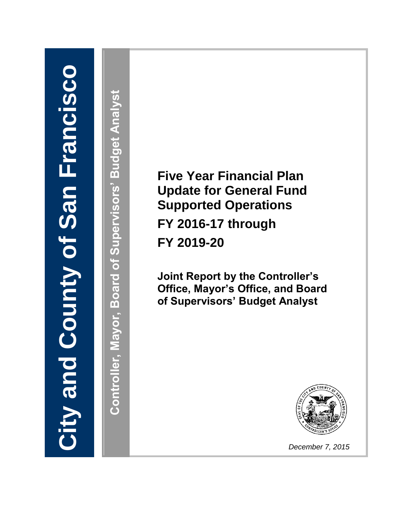# **City and County of San Francisco City and County of San Francisco**

**Controller, Mayor, Board of Supervisors' Budget Analyst** Controller, Mayor, Board of Supervisors' Budget Analyst

**Five Year Financial Plan Update for General Fund Supported Operations FY 2016-17 through FY 2019-20**

**Joint Report by the Controller's Office, Mayor's Office, and Board of Supervisors' Budget Analyst**



*December 7, 2015*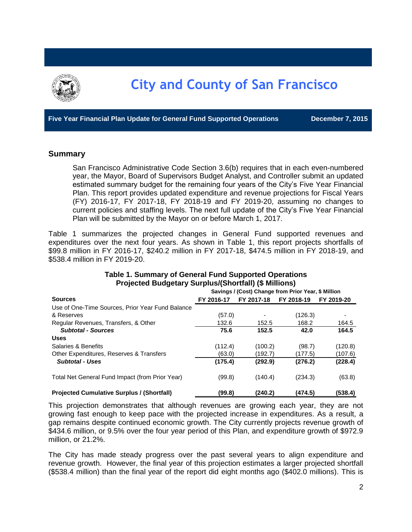

**Five Year Financial Plan Update for General Fund Supported Operations December 7, 2015**

#### **Summary**

San Francisco Administrative Code Section 3.6(b) requires that in each even-numbered year, the Mayor, Board of Supervisors Budget Analyst, and Controller submit an updated estimated summary budget for the remaining four years of the City's Five Year Financial Plan. This report provides updated expenditure and revenue projections for Fiscal Years (FY) 2016-17, FY 2017-18, FY 2018-19 and FY 2019-20, assuming no changes to current policies and staffing levels. The next full update of the City's Five Year Financial Plan will be submitted by the Mayor on or before March 1, 2017.

Table 1 summarizes the projected changes in General Fund supported revenues and expenditures over the next four years. As shown in Table 1, this report projects shortfalls of \$99.8 million in FY 2016-17, \$240.2 million in FY 2017-18, \$474.5 million in FY 2018-19, and \$538.4 million in FY 2019-20.

| $\cdots$ , $\cdots$ , $\cdots$ , $\cdots$ , $\cdots$ , $\cdots$ , $\cdots$ , $\cdots$ , $\cdots$ , $\cdots$ , $\cdots$ , $\cdots$ |                                                     |                          |         |            |  |  |  |
|-----------------------------------------------------------------------------------------------------------------------------------|-----------------------------------------------------|--------------------------|---------|------------|--|--|--|
|                                                                                                                                   | Savings / (Cost) Change from Prior Year, \$ Million |                          |         |            |  |  |  |
| <b>Sources</b>                                                                                                                    | FY 2016-17                                          | FY 2018-19<br>FY 2017-18 |         | FY 2019-20 |  |  |  |
| Use of One-Time Sources, Prior Year Fund Balance                                                                                  |                                                     |                          |         |            |  |  |  |
| & Reserves                                                                                                                        | (57.0)                                              |                          | (126.3) |            |  |  |  |
| Regular Revenues, Transfers, & Other                                                                                              | 132.6                                               | 152.5                    | 168.2   | 164.5      |  |  |  |
| <b>Subtotal - Sources</b>                                                                                                         | 75.6                                                | 152.5                    | 42.0    | 164.5      |  |  |  |
| <b>Uses</b>                                                                                                                       |                                                     |                          |         |            |  |  |  |
| Salaries & Benefits                                                                                                               | (112.4)                                             | (100.2)                  | (98.7)  | (120.8)    |  |  |  |
| Other Expenditures, Reserves & Transfers                                                                                          | (63.0)                                              | (192.7)                  | (177.5) | (107.6)    |  |  |  |
| <b>Subtotal - Uses</b>                                                                                                            | (175.4)                                             | (292.9)                  | (276.2) | (228.4)    |  |  |  |
| Total Net General Fund Impact (from Prior Year)                                                                                   | (99.8)                                              | (140.4)                  | (234.3) | (63.8)     |  |  |  |
| <b>Projected Cumulative Surplus / (Shortfall)</b>                                                                                 | (99.8)                                              | (240.2)                  | (474.5) | (538.4)    |  |  |  |

#### **Table 1. Summary of General Fund Supported Operations Projected Budgetary Surplus/(Shortfall) (\$ Millions)**

This projection demonstrates that although revenues are growing each year, they are not growing fast enough to keep pace with the projected increase in expenditures. As a result, a gap remains despite continued economic growth. The City currently projects revenue growth of \$434.6 million, or 9.5% over the four year period of this Plan, and expenditure growth of \$972.9 million, or 21.2%.

The City has made steady progress over the past several years to align expenditure and revenue growth. However, the final year of this projection estimates a larger projected shortfall (\$538.4 million) than the final year of the report did eight months ago (\$402.0 millions). This is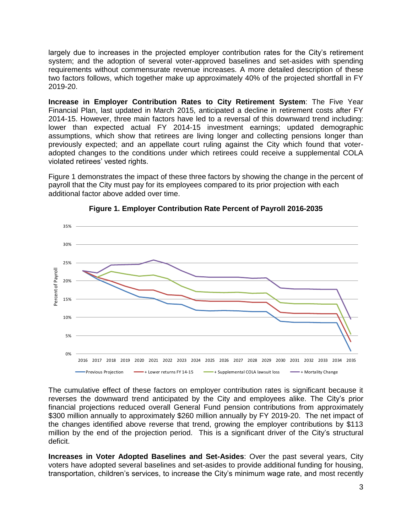largely due to increases in the projected employer contribution rates for the City's retirement system; and the adoption of several voter-approved baselines and set-asides with spending requirements without commensurate revenue increases. A more detailed description of these two factors follows, which together make up approximately 40% of the projected shortfall in FY 2019-20.

**Increase in Employer Contribution Rates to City Retirement System**: The Five Year Financial Plan, last updated in March 2015, anticipated a decline in retirement costs after FY 2014-15. However, three main factors have led to a reversal of this downward trend including: lower than expected actual FY 2014-15 investment earnings; updated demographic assumptions, which show that retirees are living longer and collecting pensions longer than previously expected; and an appellate court ruling against the City which found that voteradopted changes to the conditions under which retirees could receive a supplemental COLA violated retirees' vested rights.

Figure 1 demonstrates the impact of these three factors by showing the change in the percent of payroll that the City must pay for its employees compared to its prior projection with each additional factor above added over time.



**Figure 1. Employer Contribution Rate Percent of Payroll 2016-2035**

The cumulative effect of these factors on employer contribution rates is significant because it reverses the downward trend anticipated by the City and employees alike. The City's prior financial projections reduced overall General Fund pension contributions from approximately \$300 million annually to approximately \$260 million annually by FY 2019-20. The net impact of the changes identified above reverse that trend, growing the employer contributions by \$113 million by the end of the projection period. This is a significant driver of the City's structural deficit.

**Increases in Voter Adopted Baselines and Set-Asides**: Over the past several years, City voters have adopted several baselines and set-asides to provide additional funding for housing, transportation, children's services, to increase the City's minimum wage rate, and most recently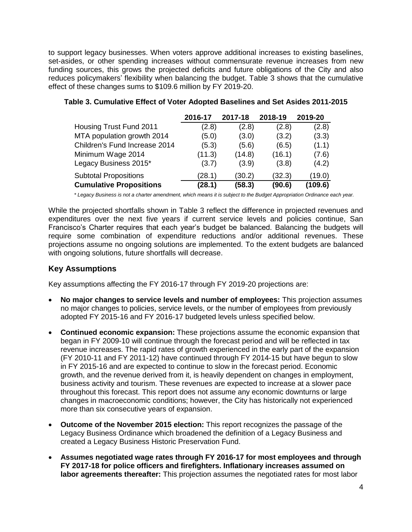to support legacy businesses. When voters approve additional increases to existing baselines, set-asides, or other spending increases without commensurate revenue increases from new funding sources, this grows the projected deficits and future obligations of the City and also reduces policymakers' flexibility when balancing the budget. Table 3 shows that the cumulative effect of these changes sums to \$109.6 million by FY 2019-20.

|                                | 2016-17 | 2017-18 | 2018-19 | 2019-20 |
|--------------------------------|---------|---------|---------|---------|
| Housing Trust Fund 2011        | (2.8)   | (2.8)   | (2.8)   | (2.8)   |
| MTA population growth 2014     | (5.0)   | (3.0)   | (3.2)   | (3.3)   |
| Children's Fund Increase 2014  | (5.3)   | (5.6)   | (6.5)   | (1.1)   |
| Minimum Wage 2014              | (11.3)  | (14.8)  | (16.1)  | (7.6)   |
| Legacy Business 2015*          | (3.7)   | (3.9)   | (3.8)   | (4.2)   |
| <b>Subtotal Propositions</b>   | (28.1)  | (30.2)  | (32.3)  | (19.0)  |
| <b>Cumulative Propositions</b> | (28.1)  | (58.3)  | (90.6)  | (109.6) |

#### **Table 3. Cumulative Effect of Voter Adopted Baselines and Set Asides 2011-2015**

*\* Legacy Business is not a charter amendment, which means it is subject to the Budget Appropriation Ordinance each year.*

While the projected shortfalls shown in Table 3 reflect the difference in projected revenues and expenditures over the next five years if current service levels and policies continue, San Francisco's Charter requires that each year's budget be balanced. Balancing the budgets will require some combination of expenditure reductions and/or additional revenues. These projections assume no ongoing solutions are implemented. To the extent budgets are balanced with ongoing solutions, future shortfalls will decrease.

# **Key Assumptions**

Key assumptions affecting the FY 2016-17 through FY 2019-20 projections are:

- **No major changes to service levels and number of employees:** This projection assumes no major changes to policies, service levels, or the number of employees from previously adopted FY 2015-16 and FY 2016-17 budgeted levels unless specified below.
- **Continued economic expansion:** These projections assume the economic expansion that began in FY 2009-10 will continue through the forecast period and will be reflected in tax revenue increases. The rapid rates of growth experienced in the early part of the expansion (FY 2010-11 and FY 2011-12) have continued through FY 2014-15 but have begun to slow in FY 2015-16 and are expected to continue to slow in the forecast period. Economic growth, and the revenue derived from it, is heavily dependent on changes in employment, business activity and tourism. These revenues are expected to increase at a slower pace throughout this forecast. This report does not assume any economic downturns or large changes in macroeconomic conditions; however, the City has historically not experienced more than six consecutive years of expansion.
- **Outcome of the November 2015 election:** This report recognizes the passage of the Legacy Business Ordinance which broadened the definition of a Legacy Business and created a Legacy Business Historic Preservation Fund.
- **Assumes negotiated wage rates through FY 2016-17 for most employees and through FY 2017-18 for police officers and firefighters. Inflationary increases assumed on labor agreements thereafter:** This projection assumes the negotiated rates for most labor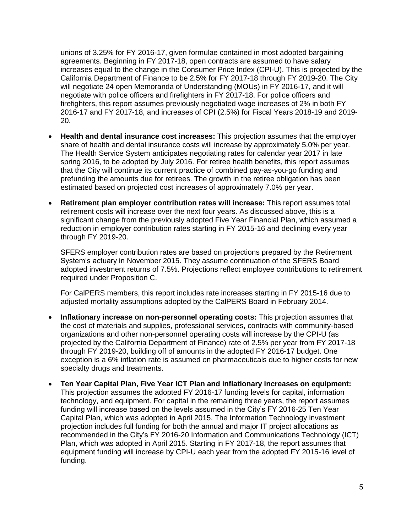unions of 3.25% for FY 2016-17, given formulae contained in most adopted bargaining agreements. Beginning in FY 2017-18, open contracts are assumed to have salary increases equal to the change in the Consumer Price Index (CPI-U). This is projected by the California Department of Finance to be 2.5% for FY 2017-18 through FY 2019-20. The City will negotiate 24 open Memoranda of Understanding (MOUs) in FY 2016-17, and it will negotiate with police officers and firefighters in FY 2017-18. For police officers and firefighters, this report assumes previously negotiated wage increases of 2% in both FY 2016-17 and FY 2017-18, and increases of CPI (2.5%) for Fiscal Years 2018-19 and 2019- 20.

- **Health and dental insurance cost increases:** This projection assumes that the employer share of health and dental insurance costs will increase by approximately 5.0% per year. The Health Service System anticipates negotiating rates for calendar year 2017 in late spring 2016, to be adopted by July 2016. For retiree health benefits, this report assumes that the City will continue its current practice of combined pay-as-you-go funding and prefunding the amounts due for retirees. The growth in the retiree obligation has been estimated based on projected cost increases of approximately 7.0% per year.
- **Retirement plan employer contribution rates will increase:** This report assumes total retirement costs will increase over the next four years. As discussed above, this is a significant change from the previously adopted Five Year Financial Plan, which assumed a reduction in employer contribution rates starting in FY 2015-16 and declining every year through FY 2019-20.

SFERS employer contribution rates are based on projections prepared by the Retirement System's actuary in November 2015. They assume continuation of the SFERS Board adopted investment returns of 7.5%. Projections reflect employee contributions to retirement required under Proposition C.

For CalPERS members, this report includes rate increases starting in FY 2015-16 due to adjusted mortality assumptions adopted by the CalPERS Board in February 2014.

- **Inflationary increase on non-personnel operating costs:** This projection assumes that the cost of materials and supplies, professional services, contracts with community-based organizations and other non-personnel operating costs will increase by the CPI-U (as projected by the California Department of Finance) rate of 2.5% per year from FY 2017-18 through FY 2019-20, building off of amounts in the adopted FY 2016-17 budget. One exception is a 6% inflation rate is assumed on pharmaceuticals due to higher costs for new specialty drugs and treatments.
- **Ten Year Capital Plan, Five Year ICT Plan and inflationary increases on equipment:**  This projection assumes the adopted FY 2016-17 funding levels for capital, information technology, and equipment. For capital in the remaining three years, the report assumes funding will increase based on the levels assumed in the City's FY 2016-25 Ten Year Capital Plan, which was adopted in April 2015. The Information Technology investment projection includes full funding for both the annual and major IT project allocations as recommended in the City's FY 2016-20 Information and Communications Technology (ICT) Plan, which was adopted in April 2015. Starting in FY 2017-18, the report assumes that equipment funding will increase by CPI-U each year from the adopted FY 2015-16 level of funding.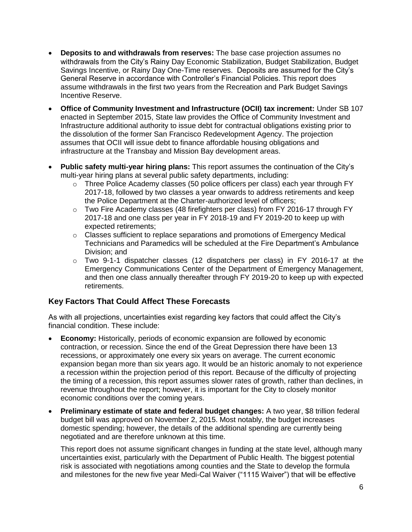- **Deposits to and withdrawals from reserves:** The base case projection assumes no withdrawals from the City's Rainy Day Economic Stabilization, Budget Stabilization, Budget Savings Incentive, or Rainy Day One-Time reserves. Deposits are assumed for the City's General Reserve in accordance with Controller's Financial Policies. This report does assume withdrawals in the first two years from the Recreation and Park Budget Savings Incentive Reserve.
- **Office of Community Investment and Infrastructure (OCII) tax increment:** Under SB 107 enacted in September 2015, State law provides the Office of Community Investment and Infrastructure additional authority to issue debt for contractual obligations existing prior to the dissolution of the former San Francisco Redevelopment Agency. The projection assumes that OCII will issue debt to finance affordable housing obligations and infrastructure at the Transbay and Mission Bay development areas.
- **Public safety multi-year hiring plans:** This report assumes the continuation of the City's multi-year hiring plans at several public safety departments, including:
	- $\circ$  Three Police Academy classes (50 police officers per class) each year through FY 2017-18, followed by two classes a year onwards to address retirements and keep the Police Department at the Charter-authorized level of officers;
	- $\circ$  Two Fire Academy classes (48 firefighters per class) from FY 2016-17 through FY 2017-18 and one class per year in FY 2018-19 and FY 2019-20 to keep up with expected retirements;
	- $\circ$  Classes sufficient to replace separations and promotions of Emergency Medical Technicians and Paramedics will be scheduled at the Fire Department's Ambulance Division; and
	- o Two 9-1-1 dispatcher classes (12 dispatchers per class) in FY 2016-17 at the Emergency Communications Center of the Department of Emergency Management, and then one class annually thereafter through FY 2019-20 to keep up with expected retirements.

# **Key Factors That Could Affect These Forecasts**

As with all projections, uncertainties exist regarding key factors that could affect the City's financial condition. These include:

- **Economy:** Historically, periods of economic expansion are followed by economic contraction, or recession. Since the end of the Great Depression there have been 13 recessions, or approximately one every six years on average. The current economic expansion began more than six years ago. It would be an historic anomaly to not experience a recession within the projection period of this report. Because of the difficulty of projecting the timing of a recession, this report assumes slower rates of growth, rather than declines, in revenue throughout the report; however, it is important for the City to closely monitor economic conditions over the coming years.
- **Preliminary estimate of state and federal budget changes:** A two year, \$8 trillion federal budget bill was approved on November 2, 2015. Most notably, the budget increases domestic spending; however, the details of the additional spending are currently being negotiated and are therefore unknown at this time.

This report does not assume significant changes in funding at the state level, although many uncertainties exist, particularly with the Department of Public Health. The biggest potential risk is associated with negotiations among counties and the State to develop the formula and milestones for the new five year Medi-Cal Waiver ("1115 Waiver") that will be effective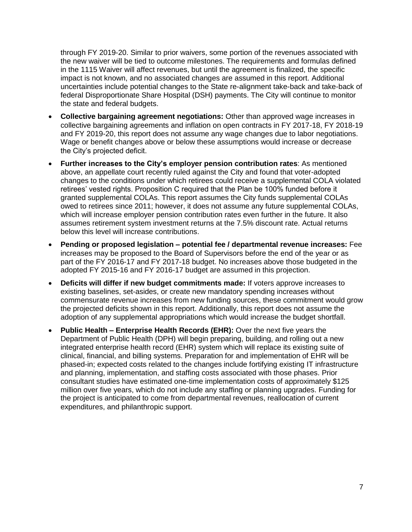through FY 2019-20. Similar to prior waivers, some portion of the revenues associated with the new waiver will be tied to outcome milestones. The requirements and formulas defined in the 1115 Waiver will affect revenues, but until the agreement is finalized, the specific impact is not known, and no associated changes are assumed in this report. Additional uncertainties include potential changes to the State re-alignment take-back and take-back of federal Disproportionate Share Hospital (DSH) payments. The City will continue to monitor the state and federal budgets.

- **Collective bargaining agreement negotiations:** Other than approved wage increases in collective bargaining agreements and inflation on open contracts in FY 2017-18, FY 2018-19 and FY 2019-20, this report does not assume any wage changes due to labor negotiations. Wage or benefit changes above or below these assumptions would increase or decrease the City's projected deficit.
- **Further increases to the City's employer pension contribution rates**: As mentioned above, an appellate court recently ruled against the City and found that voter-adopted changes to the conditions under which retirees could receive a supplemental COLA violated retirees' vested rights. Proposition C required that the Plan be 100% funded before it granted supplemental COLAs. This report assumes the City funds supplemental COLAs owed to retirees since 2011; however, it does not assume any future supplemental COLAs, which will increase employer pension contribution rates even further in the future. It also assumes retirement system investment returns at the 7.5% discount rate. Actual returns below this level will increase contributions.
- **Pending or proposed legislation – potential fee / departmental revenue increases:** Fee increases may be proposed to the Board of Supervisors before the end of the year or as part of the FY 2016-17 and FY 2017-18 budget. No increases above those budgeted in the adopted FY 2015-16 and FY 2016-17 budget are assumed in this projection.
- **Deficits will differ if new budget commitments made:** If voters approve increases to existing baselines, set-asides, or create new mandatory spending increases without commensurate revenue increases from new funding sources, these commitment would grow the projected deficits shown in this report. Additionally, this report does not assume the adoption of any supplemental appropriations which would increase the budget shortfall.
- **Public Health – Enterprise Health Records (EHR):** Over the next five years the Department of Public Health (DPH) will begin preparing, building, and rolling out a new integrated enterprise health record (EHR) system which will replace its existing suite of clinical, financial, and billing systems. Preparation for and implementation of EHR will be phased-in; expected costs related to the changes include fortifying existing IT infrastructure and planning, implementation, and staffing costs associated with those phases. Prior consultant studies have estimated one-time implementation costs of approximately \$125 million over five years, which do not include any staffing or planning upgrades. Funding for the project is anticipated to come from departmental revenues, reallocation of current expenditures, and philanthropic support.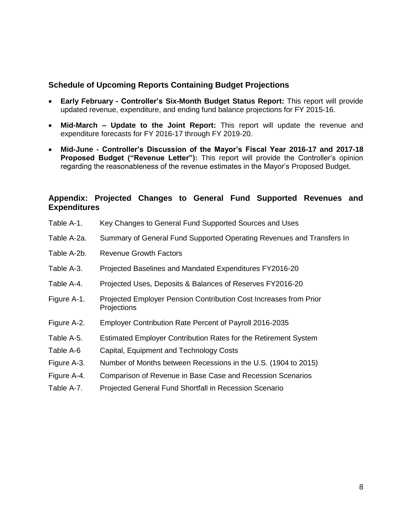# **Schedule of Upcoming Reports Containing Budget Projections**

- **Early February - Controller's Six-Month Budget Status Report:** This report will provide updated revenue, expenditure, and ending fund balance projections for FY 2015-16.
- **Mid-March – Update to the Joint Report:** This report will update the revenue and expenditure forecasts for FY 2016-17 through FY 2019-20.
- **Mid-June - Controller's Discussion of the Mayor's Fiscal Year 2016-17 and 2017-18 Proposed Budget ("Revenue Letter"):** This report will provide the Controller's opinion regarding the reasonableness of the revenue estimates in the Mayor's Proposed Budget.

# **Appendix: Projected Changes to General Fund Supported Revenues and Expenditures**

- Table A-1. Key Changes to General Fund Supported Sources and Uses
- Table A-2a. Summary of General Fund Supported Operating Revenues and Transfers In
- Table A-2b. Revenue Growth Factors
- Table A-3. Projected Baselines and Mandated Expenditures FY2016-20
- Table A-4. Projected Uses, Deposits & Balances of Reserves FY2016-20
- Figure A-1. Projected Employer Pension Contribution Cost Increases from Prior **Projections**
- Figure A-2. Employer Contribution Rate Percent of Payroll 2016-2035
- Table A-5. Estimated Employer Contribution Rates for the Retirement System
- Table A-6 Capital, Equipment and Technology Costs
- Figure A-3. Number of Months between Recessions in the U.S. (1904 to 2015)
- Figure A-4. Comparison of Revenue in Base Case and Recession Scenarios
- Table A-7. Projected General Fund Shortfall in Recession Scenario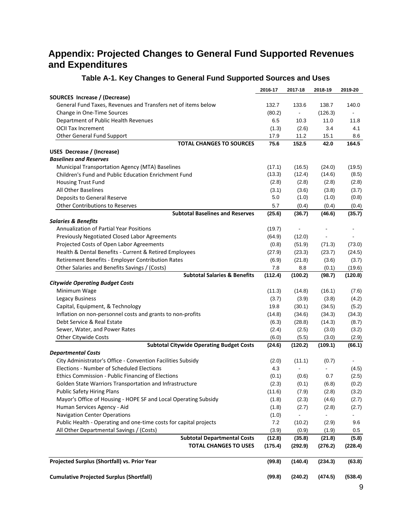# **Appendix: Projected Changes to General Fund Supported Revenues and Expenditures**

|                                                                   | 2016-17 | 2017-18                      | 2018-19 | 2019-20                  |
|-------------------------------------------------------------------|---------|------------------------------|---------|--------------------------|
| SOURCES Increase / (Decrease)                                     |         |                              |         |                          |
| General Fund Taxes, Revenues and Transfers net of items below     | 132.7   | 133.6                        | 138.7   | 140.0                    |
| Change in One-Time Sources                                        | (80.2)  | $\blacksquare$               | (126.3) | $\blacksquare$           |
| Department of Public Health Revenues                              | 6.5     | 10.3                         | 11.0    | 11.8                     |
| <b>OCII Tax Increment</b>                                         | (1.3)   | (2.6)                        | 3.4     | 4.1                      |
| Other General Fund Support                                        | 17.9    | 11.2                         | 15.1    | 8.6                      |
| <b>TOTAL CHANGES TO SOURCES</b>                                   | 75.6    | 152.5                        | 42.0    | 164.5                    |
| <b>USES Decrease / (Increase)</b>                                 |         |                              |         |                          |
| <b>Baselines and Reserves</b>                                     |         |                              |         |                          |
| Municipal Transportation Agency (MTA) Baselines                   | (17.1)  | (16.5)                       | (24.0)  | (19.5)                   |
| Children's Fund and Public Education Enrichment Fund              | (13.3)  | (12.4)                       | (14.6)  | (8.5)                    |
| <b>Housing Trust Fund</b>                                         | (2.8)   | (2.8)                        | (2.8)   | (2.8)                    |
| All Other Baselines                                               | (3.1)   | (3.6)                        | (3.8)   | (3.7)                    |
| Deposits to General Reserve                                       | 5.0     | (1.0)                        | (1.0)   | (0.8)                    |
| <b>Other Contributions to Reserves</b>                            | 5.7     | (0.4)                        | (0.4)   | (0.4)                    |
| <b>Subtotal Baselines and Reserves</b>                            | (25.6)  | (36.7)                       | (46.6)  | (35.7)                   |
| <b>Salaries &amp; Benefits</b>                                    |         |                              |         |                          |
| <b>Annualization of Partial Year Positions</b>                    | (19.7)  | $\qquad \qquad \blacksquare$ |         |                          |
| Previously Negotiated Closed Labor Agreements                     | (64.9)  | (12.0)                       |         |                          |
| Projected Costs of Open Labor Agreements                          | (0.8)   | (51.9)                       | (71.3)  | (73.0)                   |
| Health & Dental Benefits - Current & Retired Employees            | (27.9)  | (23.3)                       | (23.7)  | (24.5)                   |
| Retirement Benefits - Employer Contribution Rates                 | (6.9)   | (21.8)                       | (3.6)   | (3.7)                    |
| Other Salaries and Benefits Savings / (Costs)                     | 7.8     | 8.8                          | (0.1)   | (19.6)                   |
| <b>Subtotal Salaries &amp; Benefits</b>                           | (112.4) | (100.2)                      | (98.7)  | (120.8)                  |
| <b>Citywide Operating Budget Costs</b>                            |         |                              |         |                          |
| Minimum Wage                                                      | (11.3)  | (14.8)                       | (16.1)  | (7.6)                    |
| <b>Legacy Business</b>                                            | (3.7)   | (3.9)                        | (3.8)   | (4.2)                    |
| Capital, Equipment, & Technology                                  | 19.8    | (30.1)                       | (34.5)  | (5.2)                    |
| Inflation on non-personnel costs and grants to non-profits        | (14.8)  | (34.6)                       | (34.3)  | (34.3)                   |
| Debt Service & Real Estate                                        | (6.3)   | (28.8)                       | (14.3)  | (8.7)                    |
| Sewer, Water, and Power Rates                                     | (2.4)   | (2.5)                        | (3.0)   | (3.2)                    |
| Other Citywide Costs                                              | (6.0)   | (5.5)                        | (3.0)   | (2.9)                    |
| <b>Subtotal Citywide Operating Budget Costs</b>                   | (24.6)  | (120.2)                      | (109.1) | (66.1)                   |
| <b>Departmental Costs</b>                                         |         |                              |         |                          |
| City Administrator's Office - Convention Facilities Subsidy       | (2.0)   | (11.1)                       | (0.7)   | $\blacksquare$           |
| Elections - Number of Scheduled Elections                         | 4.3     |                              |         | (4.5)                    |
| Ethics Commission - Public Financing of Elections                 | (0.1)   | (0.6)                        | 0.7     | (2.5)                    |
| Golden State Warriors Transportation and Infrastructure           | (2.3)   | (0.1)                        | (6.8)   | (0.2)                    |
| <b>Public Safety Hiring Plans</b>                                 | (11.6)  | (7.9)                        | (2.8)   | (3.2)                    |
| Mayor's Office of Housing - HOPE SF and Local Operating Subsidy   | (1.8)   | (2.3)                        | (4.6)   | (2.7)                    |
| Human Services Agency - Aid                                       | (1.8)   | (2.7)                        | (2.8)   | (2.7)                    |
| <b>Navigation Center Operations</b>                               | (1.0)   |                              |         | $\overline{\phantom{0}}$ |
| Public Health - Operating and one-time costs for capital projects | 7.2     | (10.2)                       | (2.9)   | 9.6                      |
| All Other Departmental Savings / (Costs)                          | (3.9)   | (0.9)                        | (1.9)   | 0.5                      |
| <b>Subtotal Departmental Costs</b>                                | (12.8)  | (35.8)                       | (21.8)  | (5.8)                    |
| <b>TOTAL CHANGES TO USES</b>                                      | (175.4) | (292.9)                      | (276.2) | (228.4)                  |
| Projected Surplus (Shortfall) vs. Prior Year                      | (99.8)  | (140.4)                      | (234.3) | (63.8)                   |
| <b>Cumulative Projected Surplus (Shortfall)</b>                   | (99.8)  | (240.2)                      | (474.5) | (538.4)                  |

# **Table A-1. Key Changes to General Fund Supported Sources and Uses**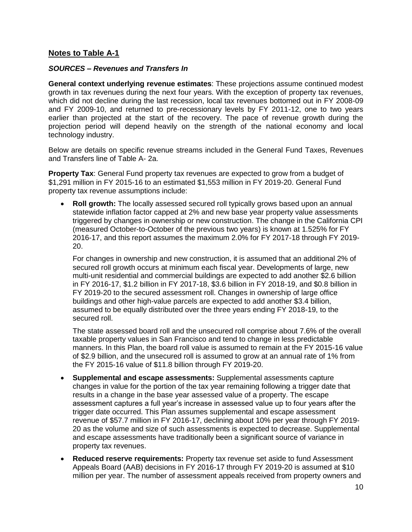# **Notes to Table A-1**

#### *SOURCES – Revenues and Transfers In*

**General context underlying revenue estimates**: These projections assume continued modest growth in tax revenues during the next four years. With the exception of property tax revenues, which did not decline during the last recession, local tax revenues bottomed out in FY 2008-09 and FY 2009-10, and returned to pre-recessionary levels by FY 2011-12, one to two years earlier than projected at the start of the recovery. The pace of revenue growth during the projection period will depend heavily on the strength of the national economy and local technology industry.

Below are details on specific revenue streams included in the General Fund Taxes, Revenues and Transfers line of Table A- 2a.

**Property Tax**: General Fund property tax revenues are expected to grow from a budget of \$1,291 million in FY 2015-16 to an estimated \$1,553 million in FY 2019-20. General Fund property tax revenue assumptions include:

 **Roll growth:** The locally assessed secured roll typically grows based upon an annual statewide inflation factor capped at 2% and new base year property value assessments triggered by changes in ownership or new construction. The change in the California CPI (measured October-to-October of the previous two years) is known at 1.525% for FY 2016-17, and this report assumes the maximum 2.0% for FY 2017-18 through FY 2019- 20.

For changes in ownership and new construction, it is assumed that an additional 2% of secured roll growth occurs at minimum each fiscal year. Developments of large, new multi-unit residential and commercial buildings are expected to add another \$2.6 billion in FY 2016-17, \$1.2 billion in FY 2017-18, \$3.6 billion in FY 2018-19, and \$0.8 billion in FY 2019-20 to the secured assessment roll. Changes in ownership of large office buildings and other high-value parcels are expected to add another \$3.4 billion, assumed to be equally distributed over the three years ending FY 2018-19, to the secured roll.

The state assessed board roll and the unsecured roll comprise about 7.6% of the overall taxable property values in San Francisco and tend to change in less predictable manners. In this Plan, the board roll value is assumed to remain at the FY 2015-16 value of \$2.9 billion, and the unsecured roll is assumed to grow at an annual rate of 1% from the FY 2015-16 value of \$11.8 billion through FY 2019-20.

- **Supplemental and escape assessments:** Supplemental assessments capture changes in value for the portion of the tax year remaining following a trigger date that results in a change in the base year assessed value of a property. The escape assessment captures a full year's increase in assessed value up to four years after the trigger date occurred. This Plan assumes supplemental and escape assessment revenue of \$57.7 million in FY 2016-17, declining about 10% per year through FY 2019- 20 as the volume and size of such assessments is expected to decrease. Supplemental and escape assessments have traditionally been a significant source of variance in property tax revenues.
- **Reduced reserve requirements:** Property tax revenue set aside to fund Assessment Appeals Board (AAB) decisions in FY 2016-17 through FY 2019-20 is assumed at \$10 million per year. The number of assessment appeals received from property owners and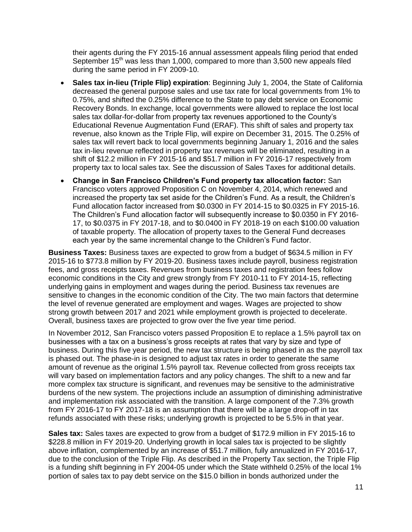their agents during the FY 2015-16 annual assessment appeals filing period that ended September 15<sup>th</sup> was less than 1,000, compared to more than 3,500 new appeals filed during the same period in FY 2009-10.

- **Sales tax in-lieu (Triple Flip) expiration**: Beginning July 1, 2004, the State of California decreased the general purpose sales and use tax rate for local governments from 1% to 0.75%, and shifted the 0.25% difference to the State to pay debt service on Economic Recovery Bonds. In exchange, local governments were allowed to replace the lost local sales tax dollar-for-dollar from property tax revenues apportioned to the County's Educational Revenue Augmentation Fund (ERAF). This shift of sales and property tax revenue, also known as the Triple Flip, will expire on December 31, 2015. The 0.25% of sales tax will revert back to local governments beginning January 1, 2016 and the sales tax in-lieu revenue reflected in property tax revenues will be eliminated, resulting in a shift of \$12.2 million in FY 2015-16 and \$51.7 million in FY 2016-17 respectively from property tax to local sales tax. See the discussion of Sales Taxes for additional details.
- **Change in San Francisco Children's Fund property tax allocation factor:** San Francisco voters approved Proposition C on November 4, 2014, which renewed and increased the property tax set aside for the Children's Fund. As a result, the Children's Fund allocation factor increased from \$0.0300 in FY 2014-15 to \$0.0325 in FY 2015-16. The Children's Fund allocation factor will subsequently increase to \$0.0350 in FY 2016- 17, to \$0.0375 in FY 2017-18, and to \$0.0400 in FY 2018-19 on each \$100.00 valuation of taxable property. The allocation of property taxes to the General Fund decreases each year by the same incremental change to the Children's Fund factor.

**Business Taxes:** Business taxes are expected to grow from a budget of \$634.5 million in FY 2015-16 to \$773.8 million by FY 2019-20. Business taxes include payroll, business registration fees, and gross receipts taxes. Revenues from business taxes and registration fees follow economic conditions in the City and grew strongly from FY 2010-11 to FY 2014-15, reflecting underlying gains in employment and wages during the period. Business tax revenues are sensitive to changes in the economic condition of the City. The two main factors that determine the level of revenue generated are employment and wages. Wages are projected to show strong growth between 2017 and 2021 while employment growth is projected to decelerate. Overall, business taxes are projected to grow over the five year time period.

In November 2012, San Francisco voters passed Proposition E to replace a 1.5% payroll tax on businesses with a tax on a business's gross receipts at rates that vary by size and type of business. During this five year period, the new tax structure is being phased in as the payroll tax is phased out. The phase-in is designed to adjust tax rates in order to generate the same amount of revenue as the original 1.5% payroll tax. Revenue collected from gross receipts tax will vary based on implementation factors and any policy changes. The shift to a new and far more complex tax structure is significant, and revenues may be sensitive to the administrative burdens of the new system. The projections include an assumption of diminishing administrative and implementation risk associated with the transition. A large component of the 7.3% growth from FY 2016-17 to FY 2017-18 is an assumption that there will be a large drop-off in tax refunds associated with these risks; underlying growth is projected to be 5.5% in that year.

**Sales tax:** Sales taxes are expected to grow from a budget of \$172.9 million in FY 2015-16 to \$228.8 million in FY 2019-20. Underlying growth in local sales tax is projected to be slightly above inflation, complemented by an increase of \$51.7 million, fully annualized in FY 2016-17, due to the conclusion of the Triple Flip. As described in the Property Tax section, the Triple Flip is a funding shift beginning in FY 2004-05 under which the State withheld 0.25% of the local 1% portion of sales tax to pay debt service on the \$15.0 billion in bonds authorized under the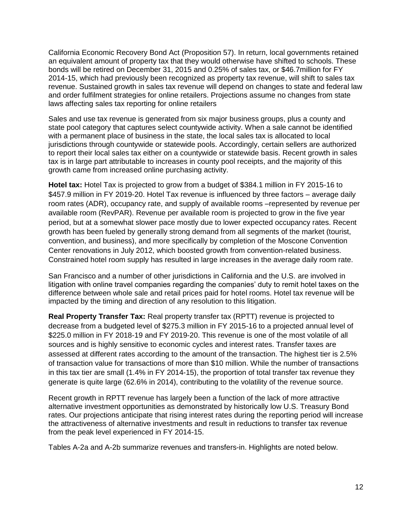California Economic Recovery Bond Act (Proposition 57). In return, local governments retained an equivalent amount of property tax that they would otherwise have shifted to schools. These bonds will be retired on December 31, 2015 and 0.25% of sales tax, or \$46.7million for FY 2014-15, which had previously been recognized as property tax revenue, will shift to sales tax revenue. Sustained growth in sales tax revenue will depend on changes to state and federal law and order fulfilment strategies for online retailers. Projections assume no changes from state laws affecting sales tax reporting for online retailers

Sales and use tax revenue is generated from six major business groups, plus a county and state pool category that captures select countywide activity. When a sale cannot be identified with a permanent place of business in the state, the local sales tax is allocated to local jurisdictions through countywide or statewide pools. Accordingly, certain sellers are authorized to report their local sales tax either on a countywide or statewide basis. Recent growth in sales tax is in large part attributable to increases in county pool receipts, and the majority of this growth came from increased online purchasing activity.

**Hotel tax:** Hotel Tax is projected to grow from a budget of \$384.1 million in FY 2015-16 to \$457.9 million in FY 2019-20. Hotel Tax revenue is influenced by three factors – average daily room rates (ADR), occupancy rate, and supply of available rooms –represented by revenue per available room (RevPAR). Revenue per available room is projected to grow in the five year period, but at a somewhat slower pace mostly due to lower expected occupancy rates. Recent growth has been fueled by generally strong demand from all segments of the market (tourist, convention, and business), and more specifically by completion of the Moscone Convention Center renovations in July 2012, which boosted growth from convention-related business. Constrained hotel room supply has resulted in large increases in the average daily room rate.

San Francisco and a number of other jurisdictions in California and the U.S. are involved in litigation with online travel companies regarding the companies' duty to remit hotel taxes on the difference between whole sale and retail prices paid for hotel rooms. Hotel tax revenue will be impacted by the timing and direction of any resolution to this litigation.

**Real Property Transfer Tax:** Real property transfer tax (RPTT) revenue is projected to decrease from a budgeted level of \$275.3 million in FY 2015-16 to a projected annual level of \$225.0 million in FY 2018-19 and FY 2019-20. This revenue is one of the most volatile of all sources and is highly sensitive to economic cycles and interest rates. Transfer taxes are assessed at different rates according to the amount of the transaction. The highest tier is 2.5% of transaction value for transactions of more than \$10 million. While the number of transactions in this tax tier are small (1.4% in FY 2014-15), the proportion of total transfer tax revenue they generate is quite large (62.6% in 2014), contributing to the volatility of the revenue source.

Recent growth in RPTT revenue has largely been a function of the lack of more attractive alternative investment opportunities as demonstrated by historically low U.S. Treasury Bond rates. Our projections anticipate that rising interest rates during the reporting period will increase the attractiveness of alternative investments and result in reductions to transfer tax revenue from the peak level experienced in FY 2014-15.

Tables A-2a and A-2b summarize revenues and transfers-in. Highlights are noted below.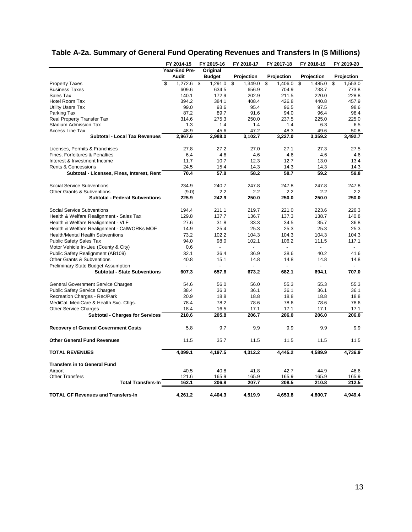|                                                     | FY 2014-15         | FY 2015-16     | FY 2016-17     | FY 2017-18     | FY 2018-19     | FY 2019-20     |
|-----------------------------------------------------|--------------------|----------------|----------------|----------------|----------------|----------------|
|                                                     | Year-End Pre-      | Original       |                |                |                |                |
|                                                     | <b>Audit</b>       | <b>Budget</b>  | Projection     | Projection     | Projection     | Projection     |
| <b>Property Taxes</b>                               | \$<br>$1,272.6$ \$ | 1,291.0        | s,<br>1,349.0  | S<br>1,406.0   | s,<br>1,485.0  | s,<br>1,553.0  |
| <b>Business Taxes</b>                               | 609.6              | 634.5          | 656.9          | 704.9          | 738.7          | 773.8          |
| Sales Tax                                           | 140.1              | 172.9          | 202.9          | 211.5          | 220.0          | 228.8          |
| Hotel Room Tax                                      | 394.2              | 384.1          | 408.4          | 426.8          | 440.8          | 457.9          |
| <b>Utility Users Tax</b>                            | 99.0               | 93.6           | 95.4           | 96.5           | 97.5           | 98.6           |
| Parking Tax                                         | 87.2               | 89.7           | 91.6           | 94.0           | 96.4           | 98.4           |
| <b>Real Property Transfer Tax</b>                   | 314.6              | 275.3          | 250.0          | 237.5          | 225.0          | 225.0          |
| <b>Stadium Admission Tax</b>                        | 1.3                | 1.4            | 1.4            | 1.4            | 6.3            | 6.5            |
| Access Line Tax                                     | 48.9               | 45.6           | 47.2           | 48.3           | 49.6           | 50.8           |
| <b>Subtotal - Local Tax Revenues</b>                | 2,967.6            | 2,988.0        | 3,102.7        | 3,227.0        | 3,359.2        | 3,492.7        |
|                                                     |                    |                |                |                |                |                |
| Licenses, Permits & Franchises                      | 27.8               | 27.2           | 27.0           | 27.1           | 27.3           | 27.5           |
| Fines, Forfeitures & Penalties                      | 6.4                | 4.6            | 4.6            | 4.6            | 4.6            | 4.6            |
| Interest & Investment Income                        | 11.7               | 10.7           | 12.3           | 12.7           | 13.0           | 13.4           |
| <b>Rents &amp; Concessions</b>                      | 24.5               | 15.4           | 14.3           | 14.3           | 14.3           | 14.3           |
| Subtotal - Licenses, Fines, Interest, Rent          | 70.4               | 57.8           | 58.2           | 58.7           | 59.2           | 59.8           |
|                                                     |                    |                |                |                |                |                |
| Social Service Subventions                          | 234.9              | 240.7          | 247.8          | 247.8          | 247.8          | 247.8          |
| Other Grants & Subventions                          | (9.0)              | 2.2            | 2.2            | 2.2            | 2.2            | 2.2            |
| <b>Subtotal - Federal Subventions</b>               | 225.9              | 242.9          | 250.0          | 250.0          | 250.0          | 250.0          |
|                                                     |                    |                |                |                |                |                |
| <b>Social Service Subventions</b>                   | 194.4              | 211.1          | 219.7          | 221.0          | 223.6          | 226.3          |
| Health & Welfare Realignment - Sales Tax            | 129.8              | 137.7          | 136.7          | 137.3          | 138.7          | 140.8          |
| Health & Welfare Realignment - VLF                  | 27.6               | 31.8           | 33.3           | 34.5           | 35.7           | 36.8           |
| Health & Welfare Realignment - CalWORKs MOE         | 14.9               | 25.4           | 25.3           | 25.3           | 25.3           | 25.3           |
|                                                     | 73.2               | 102.2          | 104.3          | 104.3          | 104.3          | 104.3          |
| Health/Mental Health Subventions                    |                    |                |                |                |                |                |
| <b>Public Safety Sales Tax</b>                      | 94.0               | 98.0           | 102.1          | 106.2          | 111.5          | 117.1          |
| Motor Vehicle In-Lieu (County & City)               | 0.6                | $\overline{a}$ | $\overline{a}$ | $\overline{a}$ | $\overline{a}$ |                |
| Public Safety Realignment (AB109)                   | 32.1               | 36.4           | 36.9           | 38.6           | 40.2           | 41.6           |
| Other Grants & Subventions                          | 40.8               | 15.1           | 14.8           | 14.8           | 14.8           | 14.8           |
| <b>Preliminary State Budget Assumption</b>          |                    |                |                |                |                |                |
| <b>Subtotal - State Subventions</b>                 | 607.3              | 657.6          | 673.2          | 682.1          | 694.1          | 707.0          |
|                                                     |                    |                |                |                |                |                |
| <b>General Government Service Charges</b>           | 54.6               | 56.0           | 56.0           | 55.3           | 55.3           | 55.3           |
| <b>Public Safety Service Charges</b>                | 38.4               | 36.3           | 36.1           | 36.1           | 36.1           | 36.1           |
| Recreation Charges - Rec/Park                       | 20.9               | 18.8           | 18.8           | 18.8           | 18.8           | 18.8           |
| MediCal, MediCare & Health Svc. Chgs.               | 78.4               | 78.2           | 78.6           | 78.6           | 78.6           | 78.6           |
| <b>Other Service Charges</b>                        | 18.4               | 16.5           | 17.1           | 17.1           | 17.1           | 17.1           |
| <b>Subtotal - Charges for Services</b>              | 210.6              | 205.8          | 206.7          | 206.0          | 206.0          | 206.0          |
|                                                     |                    |                |                |                |                |                |
| <b>Recovery of General Government Costs</b>         | 5.8                | 9.7            | 9.9            | 9.9            | 9.9            | 9.9            |
|                                                     |                    |                |                |                |                |                |
| <b>Other General Fund Revenues</b>                  | 11.5               | 35.7           | 11.5           | 11.5           | 11.5           | 11.5           |
| <b>TOTAL REVENUES</b>                               | 4,099.1            | 4.197.5        | 4.312.2        | 4.445.2        | 4.589.9        | 4,736.9        |
|                                                     |                    |                |                |                |                |                |
| <b>Transfers in to General Fund</b>                 |                    |                |                |                |                |                |
| Airport                                             | 40.5               | 40.8           | 41.8           | 42.7           | 44.9           | 46.6           |
| <b>Other Transfers</b><br><b>Total Transfers-In</b> | 121.6<br>162.1     | 165.9<br>206.8 | 165.9<br>207.7 | 165.9<br>208.5 | 165.9<br>210.8 | 165.9<br>212.5 |
|                                                     |                    |                |                |                |                |                |
| <b>TOTAL GF Revenues and Transfers-In</b>           | 4.261.2            | 4.404.3        | 4,519.9        | 4.653.8        | 4.800.7        | 4.949.4        |

# **Table A-2a. Summary of General Fund Operating Revenues and Transfers In (\$ Millions)**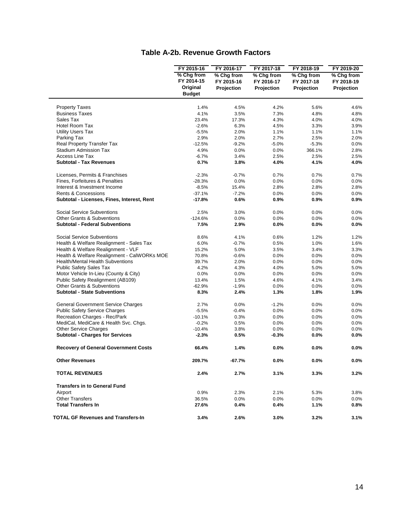#### **Table A-2b. Revenue Growth Factors**

|                                                                        | FY 2015-16                           | FY 2016-17                             | FY 2017-18                             | FY 2018-19                             | FY 2019-20                             |
|------------------------------------------------------------------------|--------------------------------------|----------------------------------------|----------------------------------------|----------------------------------------|----------------------------------------|
|                                                                        | % Chg from<br>FY 2014-15<br>Original | % Chg from<br>FY 2015-16<br>Projection | % Chg from<br>FY 2016-17<br>Projection | % Chg from<br>FY 2017-18<br>Projection | % Chg from<br>FY 2018-19<br>Projection |
|                                                                        | <b>Budget</b>                        |                                        |                                        |                                        |                                        |
|                                                                        |                                      |                                        |                                        |                                        |                                        |
| <b>Property Taxes</b>                                                  | 1.4%                                 | 4.5%                                   | 4.2%                                   | 5.6%                                   | 4.6%                                   |
| <b>Business Taxes</b><br>Sales Tax                                     | 4.1%                                 | 3.5%                                   | 7.3%                                   | 4.8%                                   | 4.8%                                   |
| Hotel Room Tax                                                         | 23.4%<br>$-2.6%$                     | 17.3%                                  | 4.3%<br>4.5%                           | 4.0%<br>3.3%                           | 4.0%                                   |
| <b>Utility Users Tax</b>                                               | $-5.5%$                              | 6.3%<br>2.0%                           | 1.1%                                   | 1.1%                                   | 3.9%<br>1.1%                           |
| Parking Tax                                                            | 2.9%                                 | 2.0%                                   | 2.7%                                   | 2.5%                                   | 2.0%                                   |
| <b>Real Property Transfer Tax</b>                                      | $-12.5%$                             | $-9.2%$                                | $-5.0%$                                | $-5.3%$                                | 0.0%                                   |
| <b>Stadium Admission Tax</b>                                           | 4.9%                                 | 0.0%                                   | 0.0%                                   | 366.1%                                 | 2.8%                                   |
| <b>Access Line Tax</b>                                                 | $-6.7%$                              | 3.4%                                   | 2.5%                                   | 2.5%                                   | 2.5%                                   |
| <b>Subtotal - Tax Revenues</b>                                         | 0.7%                                 | 3.8%                                   | 4.0%                                   | 4.1%                                   | 4.0%                                   |
|                                                                        |                                      |                                        |                                        |                                        |                                        |
| Licenses, Permits & Franchises                                         | $-2.3%$                              | $-0.7%$                                | 0.7%                                   | 0.7%                                   | 0.7%                                   |
| Fines, Forfeitures & Penalties                                         | $-28.3%$                             | 0.0%                                   | 0.0%                                   | 0.0%                                   | 0.0%                                   |
| Interest & Investment Income                                           | $-8.5%$                              | 15.4%                                  | 2.8%                                   | 2.8%                                   | 2.8%                                   |
| Rents & Concessions                                                    | $-37.1%$                             | $-7.2%$                                | 0.0%                                   | 0.0%                                   | 0.0%                                   |
| Subtotal - Licenses, Fines, Interest, Rent                             | $-17.8%$                             | 0.6%                                   | 0.9%                                   | 0.9%                                   | 0.9%                                   |
| Social Service Subventions                                             | 2.5%                                 | 3.0%                                   | 0.0%                                   | 0.0%                                   | 0.0%                                   |
| <b>Other Grants &amp; Subventions</b>                                  | $-124.6%$                            | 0.0%                                   | 0.0%                                   | 0.0%                                   | 0.0%                                   |
| <b>Subtotal - Federal Subventions</b>                                  | 7.5%                                 | 2.9%                                   | 0.0%                                   | 0.0%                                   | $0.0\%$                                |
| Social Service Subventions                                             | 8.6%                                 | 4.1%                                   | 0.6%                                   | 1.2%                                   | 1.2%                                   |
| Health & Welfare Realignment - Sales Tax                               | 6.0%                                 | $-0.7%$                                | 0.5%                                   | 1.0%                                   | 1.6%                                   |
| Health & Welfare Realignment - VLF                                     | 15.2%                                | 5.0%                                   | 3.5%                                   | 3.4%                                   | 3.3%                                   |
| Health & Welfare Realignment - CalWORKs MOE                            | 70.8%                                | $-0.6%$                                | 0.0%                                   | 0.0%                                   | 0.0%                                   |
| <b>Health/Mental Health Subventions</b>                                | 39.7%                                | 2.0%                                   | 0.0%                                   | 0.0%                                   | 0.0%                                   |
| <b>Public Safety Sales Tax</b>                                         | 4.2%                                 | 4.3%                                   | 4.0%                                   | 5.0%                                   | 5.0%                                   |
| Motor Vehicle In-Lieu (County & City)                                  | 0.0%                                 | 0.0%                                   | 0.0%                                   | 0.0%                                   | 0.0%                                   |
| Public Safety Realignment (AB109)                                      | 13.4%                                | 1.5%                                   | 4.6%                                   | 4.1%                                   | 3.4%                                   |
| Other Grants & Subventions                                             | $-62.9%$                             | $-1.9%$                                | 0.0%                                   | 0.0%                                   | 0.0%                                   |
| <b>Subtotal - State Subventions</b>                                    | 8.3%                                 | 2.4%                                   | 1.3%                                   | 1.8%                                   | 1.9%                                   |
|                                                                        |                                      |                                        |                                        |                                        |                                        |
| <b>General Government Service Charges</b>                              | 2.7%                                 | 0.0%                                   | $-1.2%$                                | 0.0%                                   | 0.0%                                   |
| <b>Public Safety Service Charges</b>                                   | $-5.5%$                              | $-0.4%$                                | 0.0%                                   | 0.0%                                   | 0.0%                                   |
| Recreation Charges - Rec/Park                                          | $-10.1%$                             | 0.3%                                   | 0.0%                                   | 0.0%                                   | 0.0%                                   |
| MediCal, MediCare & Health Svc. Chgs.                                  | $-0.2%$                              | 0.5%                                   | 0.0%                                   | 0.0%                                   | 0.0%                                   |
| <b>Other Service Charges</b><br><b>Subtotal - Charges for Services</b> | $-10.4%$<br>$-2.3%$                  | 3.8%<br>0.5%                           | 0.0%<br>$-0.3%$                        | 0.0%<br>0.0%                           | 0.0%<br>0.0%                           |
|                                                                        |                                      |                                        |                                        |                                        |                                        |
| <b>Recovery of General Government Costs</b>                            | 66.4%                                | 1.4%                                   | 0.0%                                   | 0.0%                                   | 0.0%                                   |
| <b>Other Revenues</b>                                                  | 209.7%                               | $-67.7%$                               | $0.0\%$                                | 0.0%                                   | 0.0%                                   |
| <b>TOTAL REVENUES</b>                                                  | 2.4%                                 | 2.7%                                   | 3.1%                                   | 3.3%                                   | 3.2%                                   |
| <b>Transfers in to General Fund</b>                                    |                                      |                                        |                                        |                                        |                                        |
| Airport                                                                | 0.9%                                 | 2.3%                                   | 2.1%                                   | 5.3%                                   | 3.8%                                   |
| <b>Other Transfers</b>                                                 | 36.5%                                | 0.0%                                   | 0.0%                                   | 0.0%                                   | $0.0\%$                                |
| <b>Total Transfers In</b>                                              | 27.6%                                | $0.4\%$                                | 0.4%                                   | 1.1%                                   | 0.8%                                   |
|                                                                        |                                      |                                        |                                        |                                        |                                        |
| <b>TOTAL GF Revenues and Transfers-In</b>                              | 3.4%                                 | 2.6%                                   | 3.0%                                   | 3.2%                                   | 3.1%                                   |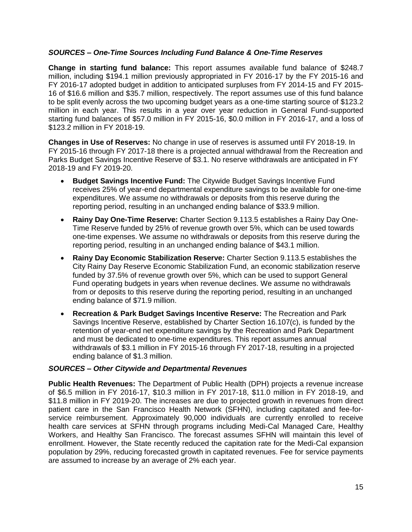#### *SOURCES – One-Time Sources Including Fund Balance & One-Time Reserves*

**Change in starting fund balance:** This report assumes available fund balance of \$248.7 million, including \$194.1 million previously appropriated in FY 2016-17 by the FY 2015-16 and FY 2016-17 adopted budget in addition to anticipated surpluses from FY 2014-15 and FY 2015- 16 of \$16.6 million and \$35.7 million, respectively. The report assumes use of this fund balance to be split evenly across the two upcoming budget years as a one-time starting source of \$123.2 million in each year. This results in a year over year reduction in General Fund-supported starting fund balances of \$57.0 million in FY 2015-16, \$0.0 million in FY 2016-17, and a loss of \$123.2 million in FY 2018-19.

**Changes in Use of Reserves:** No change in use of reserves is assumed until FY 2018-19. In FY 2015-16 through FY 2017-18 there is a projected annual withdrawal from the Recreation and Parks Budget Savings Incentive Reserve of \$3.1. No reserve withdrawals are anticipated in FY 2018-19 and FY 2019-20.

- **Budget Savings Incentive Fund:** The Citywide Budget Savings Incentive Fund receives 25% of year-end departmental expenditure savings to be available for one-time expenditures. We assume no withdrawals or deposits from this reserve during the reporting period, resulting in an unchanged ending balance of \$33.9 million.
- **Rainy Day One-Time Reserve:** Charter Section 9.113.5 establishes a Rainy Day One-Time Reserve funded by 25% of revenue growth over 5%, which can be used towards one-time expenses. We assume no withdrawals or deposits from this reserve during the reporting period, resulting in an unchanged ending balance of \$43.1 million.
- **Rainy Day Economic Stabilization Reserve:** Charter Section 9.113.5 establishes the City Rainy Day Reserve Economic Stabilization Fund, an economic stabilization reserve funded by 37.5% of revenue growth over 5%, which can be used to support General Fund operating budgets in years when revenue declines. We assume no withdrawals from or deposits to this reserve during the reporting period, resulting in an unchanged ending balance of \$71.9 million.
- **Recreation & Park Budget Savings Incentive Reserve:** The Recreation and Park Savings Incentive Reserve, established by Charter Section 16.107(c), is funded by the retention of year-end net expenditure savings by the Recreation and Park Department and must be dedicated to one-time expenditures. This report assumes annual withdrawals of \$3.1 million in FY 2015-16 through FY 2017-18, resulting in a projected ending balance of \$1.3 million.

#### *SOURCES – Other Citywide and Departmental Revenues*

**Public Health Revenues:** The Department of Public Health (DPH) projects a revenue increase of \$6.5 million in FY 2016-17, \$10.3 million in FY 2017-18, \$11.0 million in FY 2018-19, and \$11.8 million in FY 2019-20. The increases are due to projected growth in revenues from direct patient care in the San Francisco Health Network (SFHN), including capitated and fee-forservice reimbursement. Approximately 90,000 individuals are currently enrolled to receive health care services at SFHN through programs including Medi-Cal Managed Care, Healthy Workers, and Healthy San Francisco. The forecast assumes SFHN will maintain this level of enrollment. However, the State recently reduced the capitation rate for the Medi-Cal expansion population by 29%, reducing forecasted growth in capitated revenues. Fee for service payments are assumed to increase by an average of 2% each year.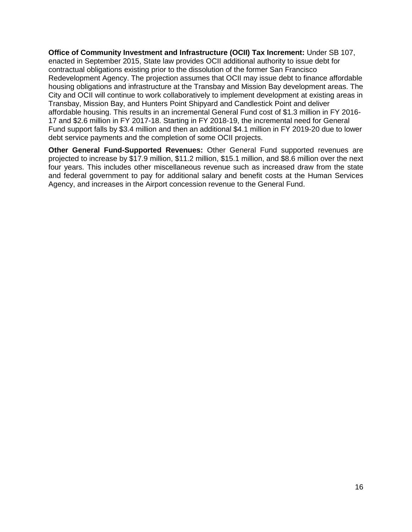**Office of Community Investment and Infrastructure (OCII) Tax Increment:** Under SB 107, enacted in September 2015, State law provides OCII additional authority to issue debt for contractual obligations existing prior to the dissolution of the former San Francisco Redevelopment Agency. The projection assumes that OCII may issue debt to finance affordable housing obligations and infrastructure at the Transbay and Mission Bay development areas. The City and OCII will continue to work collaboratively to implement development at existing areas in Transbay, Mission Bay, and Hunters Point Shipyard and Candlestick Point and deliver affordable housing. This results in an incremental General Fund cost of \$1.3 million in FY 2016- 17 and \$2.6 million in FY 2017-18. Starting in FY 2018-19, the incremental need for General Fund support falls by \$3.4 million and then an additional \$4.1 million in FY 2019-20 due to lower debt service payments and the completion of some OCII projects.

**Other General Fund-Supported Revenues:** Other General Fund supported revenues are projected to increase by \$17.9 million, \$11.2 million, \$15.1 million, and \$8.6 million over the next four years. This includes other miscellaneous revenue such as increased draw from the state and federal government to pay for additional salary and benefit costs at the Human Services Agency, and increases in the Airport concession revenue to the General Fund.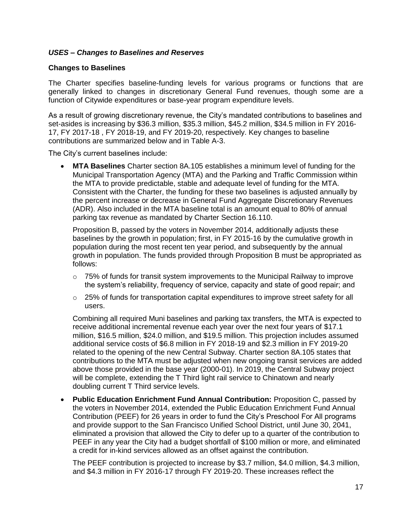#### *USES – Changes to Baselines and Reserves*

#### **Changes to Baselines**

The Charter specifies baseline-funding levels for various programs or functions that are generally linked to changes in discretionary General Fund revenues, though some are a function of Citywide expenditures or base-year program expenditure levels.

As a result of growing discretionary revenue, the City's mandated contributions to baselines and set-asides is increasing by \$36.3 million, \$35.3 million, \$45.2 million, \$34.5 million in FY 2016- 17, FY 2017-18 , FY 2018-19, and FY 2019-20, respectively. Key changes to baseline contributions are summarized below and in Table A-3.

The City's current baselines include:

 **MTA Baselines** Charter section 8A.105 establishes a minimum level of funding for the Municipal Transportation Agency (MTA) and the Parking and Traffic Commission within the MTA to provide predictable, stable and adequate level of funding for the MTA. Consistent with the Charter, the funding for these two baselines is adjusted annually by the percent increase or decrease in General Fund Aggregate Discretionary Revenues (ADR). Also included in the MTA baseline total is an amount equal to 80% of annual parking tax revenue as mandated by Charter Section 16.110.

Proposition B, passed by the voters in November 2014, additionally adjusts these baselines by the growth in population; first, in FY 2015-16 by the cumulative growth in population during the most recent ten year period, and subsequently by the annual growth in population. The funds provided through Proposition B must be appropriated as follows:

- $\circ$  75% of funds for transit system improvements to the Municipal Railway to improve the system's reliability, frequency of service, capacity and state of good repair; and
- $\circ$  25% of funds for transportation capital expenditures to improve street safety for all users.

Combining all required Muni baselines and parking tax transfers, the MTA is expected to receive additional incremental revenue each year over the next four years of \$17.1 million, \$16.5 million, \$24.0 million, and \$19.5 million. This projection includes assumed additional service costs of \$6.8 million in FY 2018-19 and \$2.3 million in FY 2019-20 related to the opening of the new Central Subway. Charter section 8A.105 states that contributions to the MTA must be adjusted when new ongoing transit services are added above those provided in the base year (2000-01). In 2019, the Central Subway project will be complete, extending the T Third light rail service to Chinatown and nearly doubling current T Third service levels.

 **Public Education Enrichment Fund Annual Contribution:** Proposition C, passed by the voters in November 2014, extended the Public Education Enrichment Fund Annual Contribution (PEEF) for 26 years in order to fund the City's Preschool For All programs and provide support to the San Francisco Unified School District, until June 30, 2041, eliminated a provision that allowed the City to defer up to a quarter of the contribution to PEEF in any year the City had a budget shortfall of \$100 million or more, and eliminated a credit for in-kind services allowed as an offset against the contribution.

The PEEF contribution is projected to increase by \$3.7 million, \$4.0 million, \$4.3 million, and \$4.3 million in FY 2016-17 through FY 2019-20. These increases reflect the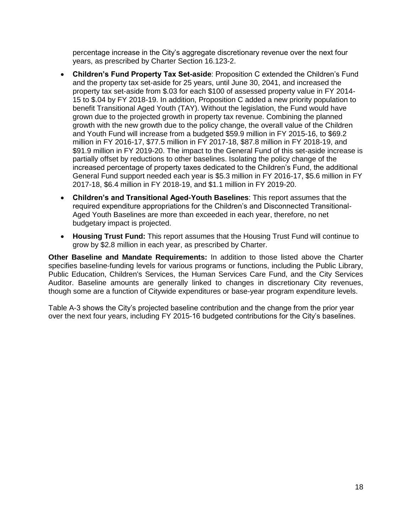percentage increase in the City's aggregate discretionary revenue over the next four years, as prescribed by Charter Section 16.123-2.

- **Children's Fund Property Tax Set-aside**: Proposition C extended the Children's Fund and the property tax set-aside for 25 years, until June 30, 2041, and increased the property tax set-aside from \$.03 for each \$100 of assessed property value in FY 2014- 15 to \$.04 by FY 2018-19. In addition, Proposition C added a new priority population to benefit Transitional Aged Youth (TAY). Without the legislation, the Fund would have grown due to the projected growth in property tax revenue. Combining the planned growth with the new growth due to the policy change, the overall value of the Children and Youth Fund will increase from a budgeted \$59.9 million in FY 2015-16, to \$69.2 million in FY 2016-17, \$77.5 million in FY 2017-18, \$87.8 million in FY 2018-19, and \$91.9 million in FY 2019-20. The impact to the General Fund of this set-aside increase is partially offset by reductions to other baselines. Isolating the policy change of the increased percentage of property taxes dedicated to the Children's Fund, the additional General Fund support needed each year is \$5.3 million in FY 2016-17, \$5.6 million in FY 2017-18, \$6.4 million in FY 2018-19, and \$1.1 million in FY 2019-20.
- **Children's and Transitional Aged-Youth Baselines**: This report assumes that the required expenditure appropriations for the Children's and Disconnected Transitional-Aged Youth Baselines are more than exceeded in each year, therefore, no net budgetary impact is projected.
- **Housing Trust Fund:** This report assumes that the Housing Trust Fund will continue to grow by \$2.8 million in each year, as prescribed by Charter.

**Other Baseline and Mandate Requirements:** In addition to those listed above the Charter specifies baseline-funding levels for various programs or functions, including the Public Library, Public Education, Children's Services, the Human Services Care Fund, and the City Services Auditor. Baseline amounts are generally linked to changes in discretionary City revenues, though some are a function of Citywide expenditures or base-year program expenditure levels.

Table A-3 shows the City's projected baseline contribution and the change from the prior year over the next four years, including FY 2015-16 budgeted contributions for the City's baselines.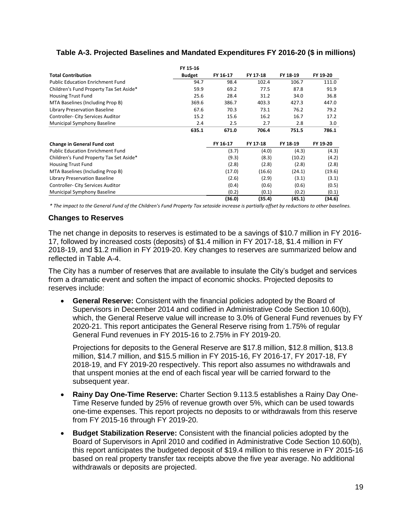## **Table A-3. Projected Baselines and Mandated Expenditures FY 2016-20 (\$ in millions)**

|                                          | FY 15-16      |          |          |          |          |
|------------------------------------------|---------------|----------|----------|----------|----------|
| <b>Total Contribution</b>                | <b>Budget</b> | FY 16-17 | FY 17-18 | FY 18-19 | FY 19-20 |
| <b>Public Education Enrichment Fund</b>  | 94.7          | 98.4     | 102.4    | 106.7    | 111.0    |
| Children's Fund Property Tax Set Aside*  | 59.9          | 69.2     | 77.5     | 87.8     | 91.9     |
| <b>Housing Trust Fund</b>                | 25.6          | 28.4     | 31.2     | 34.0     | 36.8     |
| MTA Baselines (Including Prop B)         | 369.6         | 386.7    | 403.3    | 427.3    | 447.0    |
| <b>Library Preservation Baseline</b>     | 67.6          | 70.3     | 73.1     | 76.2     | 79.2     |
| Controller- City Services Auditor        | 15.2          | 15.6     | 16.2     | 16.7     | 17.2     |
| Municipal Symphony Baseline              | 2.4           | 2.5      | 2.7      | 2.8      | 3.0      |
|                                          | 635.1         | 671.0    | 706.4    | 751.5    | 786.1    |
| <b>Change in General Fund cost</b>       |               | FY 16-17 | FY 17-18 | FY 18-19 | FY 19-20 |
| <b>Public Education Enrichment Fund</b>  |               | (3.7)    | (4.0)    | (4.3)    | (4.3)    |
| Children's Fund Property Tax Set Aside*  |               | (9.3)    | (8.3)    | (10.2)   | (4.2)    |
| <b>Housing Trust Fund</b>                |               | (2.8)    | (2.8)    | (2.8)    | (2.8)    |
| MTA Baselines (Including Prop B)         |               | (17.0)   | (16.6)   | (24.1)   | (19.6)   |
| <b>Library Preservation Baseline</b>     |               | (2.6)    | (2.9)    | (3.1)    | (3.1)    |
| <b>Controller- City Services Auditor</b> |               | (0.4)    | (0.6)    | (0.6)    | (0.5)    |
| Municipal Symphony Baseline              |               | (0.2)    | (0.1)    | (0.2)    | (0.1)    |
|                                          |               | (36.0)   | (35.4)   | (45.1)   | (34.6)   |

*\* The impact to the General Fund of the Children's Fund Property Tax setaside increase is partially offset by reductions to other baselines.* 

#### **Changes to Reserves**

The net change in deposits to reserves is estimated to be a savings of \$10.7 million in FY 2016- 17, followed by increased costs (deposits) of \$1.4 million in FY 2017-18, \$1.4 million in FY 2018-19, and \$1.2 million in FY 2019-20. Key changes to reserves are summarized below and reflected in Table A-4.

The City has a number of reserves that are available to insulate the City's budget and services from a dramatic event and soften the impact of economic shocks. Projected deposits to reserves include:

 **General Reserve:** Consistent with the financial policies adopted by the Board of Supervisors in December 2014 and codified in Administrative Code Section 10.60(b), which, the General Reserve value will increase to 3.0% of General Fund revenues by FY 2020-21. This report anticipates the General Reserve rising from 1.75% of regular General Fund revenues in FY 2015-16 to 2.75% in FY 2019-20.

Projections for deposits to the General Reserve are \$17.8 million, \$12.8 million, \$13.8 million, \$14.7 million, and \$15.5 million in FY 2015-16, FY 2016-17, FY 2017-18, FY 2018-19, and FY 2019-20 respectively. This report also assumes no withdrawals and that unspent monies at the end of each fiscal year will be carried forward to the subsequent year.

- **Rainy Day One-Time Reserve:** Charter Section 9.113.5 establishes a Rainy Day One-Time Reserve funded by 25% of revenue growth over 5%, which can be used towards one-time expenses. This report projects no deposits to or withdrawals from this reserve from FY 2015-16 through FY 2019-20.
- **Budget Stabilization Reserve:** Consistent with the financial policies adopted by the Board of Supervisors in April 2010 and codified in Administrative Code Section 10.60(b), this report anticipates the budgeted deposit of \$19.4 million to this reserve in FY 2015-16 based on real property transfer tax receipts above the five year average. No additional withdrawals or deposits are projected.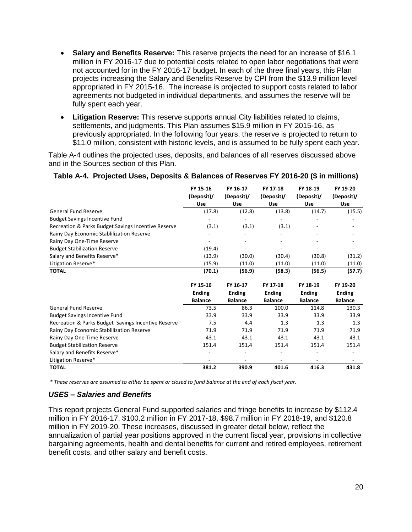- **Salary and Benefits Reserve:** This reserve projects the need for an increase of \$16.1 million in FY 2016-17 due to potential costs related to open labor negotiations that were not accounted for in the FY 2016-17 budget. In each of the three final years, this Plan projects increasing the Salary and Benefits Reserve by CPI from the \$13.9 million level appropriated in FY 2015-16. The increase is projected to support costs related to labor agreements not budgeted in individual departments, and assumes the reserve will be fully spent each year.
- **Litigation Reserve:** This reserve supports annual City liabilities related to claims, settlements, and judgments. This Plan assumes \$15.9 million in FY 2015-16, as previously appropriated. In the following four years, the reserve is projected to return to \$11.0 million, consistent with historic levels, and is assumed to be fully spent each year.

Table A-4 outlines the projected uses, deposits, and balances of all reserves discussed above and in the Sources section of this Plan.

#### **Table A-4. Projected Uses, Deposits & Balances of Reserves FY 2016-20 (\$ in millions)**

|                                                     | FY 15-16<br>(Deposit)/ | FY 16-17<br>(Deposit)/ | FY 17-18<br>(Deposit)/ | FY 18-19<br>(Deposit)/ | FY 19-20<br>(Deposit)/ |
|-----------------------------------------------------|------------------------|------------------------|------------------------|------------------------|------------------------|
|                                                     | <b>Use</b>             | Use                    | Use                    | Use                    | <b>Use</b>             |
| <b>General Fund Reserve</b>                         | (17.8)                 | (12.8)                 | (13.8)                 | (14.7)                 | (15.5)                 |
| <b>Budget Savings Incentive Fund</b>                |                        |                        |                        |                        |                        |
| Recreation & Parks Budget Savings Incentive Reserve | (3.1)                  | (3.1)                  | (3.1)                  |                        |                        |
| Rainy Day Economic Stablilization Reserve           |                        |                        |                        |                        |                        |
| Rainy Day One-Time Reserve                          |                        |                        |                        |                        |                        |
| <b>Budget Stabilization Reserve</b>                 | (19.4)                 |                        |                        |                        |                        |
| Salary and Benefits Reserve*                        | (13.9)                 | (30.0)                 | (30.4)                 | (30.8)                 | (31.2)                 |
| Litigation Reserve*                                 | (15.9)                 | (11.0)                 | (11.0)                 | (11.0)                 | (11.0)                 |
| <b>TOTAL</b>                                        | (70.1)                 | (56.9)                 | (58.3)                 | (56.5)                 | (57.7)                 |
|                                                     |                        |                        |                        |                        |                        |
|                                                     | FY 15-16               | FY 16-17               | FY 17-18               | FY 18-19               | FY 19-20               |
|                                                     | <b>Ending</b>          | <b>Ending</b>          | <b>Ending</b>          | <b>Ending</b>          | <b>Ending</b>          |
|                                                     | <b>Balance</b>         | <b>Balance</b>         | <b>Balance</b>         | <b>Balance</b>         | <b>Balance</b>         |
| <b>General Fund Reserve</b>                         | 73.5                   | 86.3                   | 100.0                  | 114.8                  | 130.3                  |
| <b>Budget Savings Incentive Fund</b>                | 33.9                   | 33.9                   | 33.9                   | 33.9                   | 33.9                   |
| Recreation & Parks Budget Savings Incentive Reserve | 7.5                    | 4.4                    | 1.3                    | 1.3                    | 1.3                    |
| Rainy Day Economic Stablilization Reserve           | 71.9                   | 71.9                   | 71.9                   | 71.9                   | 71.9                   |
| Rainy Day One-Time Reserve                          | 43.1                   | 43.1                   | 43.1                   | 43.1                   | 43.1                   |
| <b>Budget Stabilization Reserve</b>                 | 151.4                  | 151.4                  | 151.4                  | 151.4                  | 151.4                  |
| Salary and Benefits Reserve*                        |                        |                        |                        |                        |                        |
| Litigation Reserve*                                 |                        |                        |                        |                        |                        |
| <b>TOTAL</b>                                        | 381.2                  | 390.9                  | 401.6                  | 416.3                  | 431.8                  |

*\* These reserves are assumed to either be spent or closed to fund balance at the end of each fiscal year.* 

#### *USES – Salaries and Benefits*

This report projects General Fund supported salaries and fringe benefits to increase by \$112.4 million in FY 2016-17, \$100.2 million in FY 2017-18, \$98.7 million in FY 2018-19, and \$120.8 million in FY 2019-20. These increases, discussed in greater detail below, reflect the annualization of partial year positions approved in the current fiscal year, provisions in collective bargaining agreements, health and dental benefits for current and retired employees, retirement benefit costs, and other salary and benefit costs.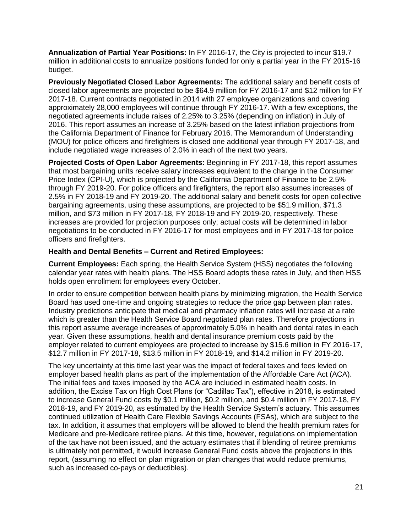**Annualization of Partial Year Positions:** In FY 2016-17, the City is projected to incur \$19.7 million in additional costs to annualize positions funded for only a partial year in the FY 2015-16 budget.

**Previously Negotiated Closed Labor Agreements:** The additional salary and benefit costs of closed labor agreements are projected to be \$64.9 million for FY 2016-17 and \$12 million for FY 2017-18. Current contracts negotiated in 2014 with 27 employee organizations and covering approximately 28,000 employees will continue through FY 2016-17. With a few exceptions, the negotiated agreements include raises of 2.25% to 3.25% (depending on inflation) in July of 2016. This report assumes an increase of 3.25% based on the latest inflation projections from the California Department of Finance for February 2016. The Memorandum of Understanding (MOU) for police officers and firefighters is closed one additional year through FY 2017-18, and include negotiated wage increases of 2.0% in each of the next two years.

**Projected Costs of Open Labor Agreements:** Beginning in FY 2017-18, this report assumes that most bargaining units receive salary increases equivalent to the change in the Consumer Price Index (CPI-U), which is projected by the California Department of Finance to be 2.5% through FY 2019-20. For police officers and firefighters, the report also assumes increases of 2.5% in FY 2018-19 and FY 2019-20. The additional salary and benefit costs for open collective bargaining agreements, using these assumptions, are projected to be \$51.9 million, \$71.3 million, and \$73 million in FY 2017-18, FY 2018-19 and FY 2019-20, respectively. These increases are provided for projection purposes only; actual costs will be determined in labor negotiations to be conducted in FY 2016-17 for most employees and in FY 2017-18 for police officers and firefighters.

#### **Health and Dental Benefits – Current and Retired Employees:**

**Current Employees:** Each spring, the Health Service System (HSS) negotiates the following calendar year rates with health plans. The HSS Board adopts these rates in July, and then HSS holds open enrollment for employees every October.

In order to ensure competition between health plans by minimizing migration, the Health Service Board has used one-time and ongoing strategies to reduce the price gap between plan rates. Industry predictions anticipate that medical and pharmacy inflation rates will increase at a rate which is greater than the Health Service Board negotiated plan rates. Therefore projections in this report assume average increases of approximately 5.0% in health and dental rates in each year. Given these assumptions, health and dental insurance premium costs paid by the employer related to current employees are projected to increase by \$15.6 million in FY 2016-17, \$12.7 million in FY 2017-18, \$13.5 million in FY 2018-19, and \$14.2 million in FY 2019-20.

The key uncertainty at this time last year was the impact of federal taxes and fees levied on employer based health plans as part of the implementation of the Affordable Care Act (ACA). The initial fees and taxes imposed by the ACA are included in estimated health costs. In addition, the Excise Tax on High Cost Plans (or "Cadillac Tax"), effective in 2018, is estimated to increase General Fund costs by \$0.1 million, \$0.2 million, and \$0.4 million in FY 2017-18, FY 2018-19, and FY 2019-20, as estimated by the Health Service System's actuary. This assumes continued utilization of Health Care Flexible Savings Accounts (FSAs), which are subject to the tax. In addition, it assumes that employers will be allowed to blend the health premium rates for Medicare and pre-Medicare retiree plans. At this time, however, regulations on implementation of the tax have not been issued, and the actuary estimates that if blending of retiree premiums is ultimately not permitted, it would increase General Fund costs above the projections in this report, (assuming no effect on plan migration or plan changes that would reduce premiums, such as increased co-pays or deductibles).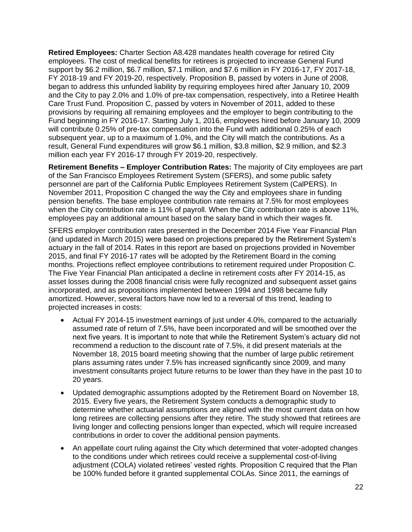**Retired Employees:** Charter Section A8.428 mandates health coverage for retired City employees. The cost of medical benefits for retirees is projected to increase General Fund support by \$6.2 million, \$6.7 million, \$7.1 million, and \$7.6 million in FY 2016-17, FY 2017-18, FY 2018-19 and FY 2019-20, respectively. Proposition B, passed by voters in June of 2008, began to address this unfunded liability by requiring employees hired after January 10, 2009 and the City to pay 2.0% and 1.0% of pre-tax compensation, respectively, into a Retiree Health Care Trust Fund. Proposition C, passed by voters in November of 2011, added to these provisions by requiring all remaining employees and the employer to begin contributing to the Fund beginning in FY 2016-17. Starting July 1, 2016, employees hired before January 10, 2009 will contribute 0.25% of pre-tax compensation into the Fund with additional 0.25% of each subsequent year, up to a maximum of 1.0%, and the City will match the contributions. As a result, General Fund expenditures will grow \$6.1 million, \$3.8 million, \$2.9 million, and \$2.3 million each year FY 2016-17 through FY 2019-20, respectively.

**Retirement Benefits – Employer Contribution Rates:** The majority of City employees are part of the San Francisco Employees Retirement System (SFERS), and some public safety personnel are part of the California Public Employees Retirement System (CalPERS). In November 2011, Proposition C changed the way the City and employees share in funding pension benefits. The base employee contribution rate remains at 7.5% for most employees when the City contribution rate is 11% of payroll. When the City contribution rate is above 11%, employees pay an additional amount based on the salary band in which their wages fit.

SFERS employer contribution rates presented in the December 2014 Five Year Financial Plan (and updated in March 2015) were based on projections prepared by the Retirement System's actuary in the fall of 2014. Rates in this report are based on projections provided in November 2015, and final FY 2016-17 rates will be adopted by the Retirement Board in the coming months. Projections reflect employee contributions to retirement required under Proposition C. The Five Year Financial Plan anticipated a decline in retirement costs after FY 2014-15, as asset losses during the 2008 financial crisis were fully recognized and subsequent asset gains incorporated, and as propositions implemented between 1994 and 1998 became fully amortized. However, several factors have now led to a reversal of this trend, leading to projected increases in costs:

- Actual FY 2014-15 investment earnings of just under 4.0%, compared to the actuarially assumed rate of return of 7.5%, have been incorporated and will be smoothed over the next five years. It is important to note that while the Retirement System's actuary did not recommend a reduction to the discount rate of 7.5%, it did present materials at the November 18, 2015 board meeting showing that the number of large public retirement plans assuming rates under 7.5% has increased significantly since 2009, and many investment consultants project future returns to be lower than they have in the past 10 to 20 years.
- Updated demographic assumptions adopted by the Retirement Board on November 18, 2015. Every five years, the Retirement System conducts a demographic study to determine whether actuarial assumptions are aligned with the most current data on how long retirees are collecting pensions after they retire. The study showed that retirees are living longer and collecting pensions longer than expected, which will require increased contributions in order to cover the additional pension payments.
- An appellate court ruling against the City which determined that voter-adopted changes to the conditions under which retirees could receive a supplemental cost-of-living adjustment (COLA) violated retirees' vested rights. Proposition C required that the Plan be 100% funded before it granted supplemental COLAs. Since 2011, the earnings of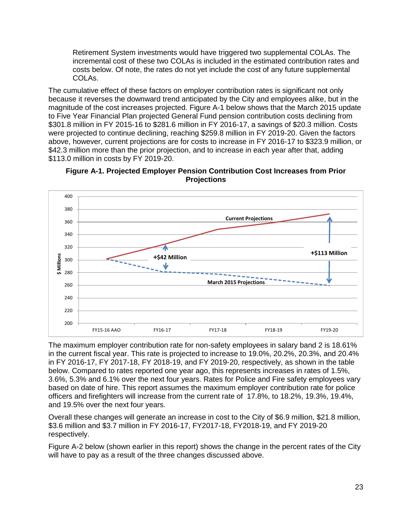Retirement System investments would have triggered two supplemental COLAs. The incremental cost of these two COLAs is included in the estimated contribution rates and costs below. Of note, the rates do not yet include the cost of any future supplemental COLAs.

The cumulative effect of these factors on employer contribution rates is significant not only because it reverses the downward trend anticipated by the City and employees alike, but in the magnitude of the cost increases projected. Figure A-1 below shows that the March 2015 update to Five Year Financial Plan projected General Fund pension contribution costs declining from \$301.8 million in FY 2015-16 to \$281.6 million in FY 2016-17, a savings of \$20.3 million. Costs were projected to continue declining, reaching \$259.8 million in FY 2019-20. Given the factors above, however, current projections are for costs to increase in FY 2016-17 to \$323.9 million, or \$42.3 million more than the prior projection, and to increase in each year after that, adding \$113.0 million in costs by FY 2019-20.

**Figure A-1. Projected Employer Pension Contribution Cost Increases from Prior Projections**



The maximum employer contribution rate for non-safety employees in salary band 2 is 18.61% in the current fiscal year. This rate is projected to increase to 19.0%, 20.2%, 20.3%, and 20.4% in FY 2016-17, FY 2017-18, FY 2018-19, and FY 2019-20, respectively, as shown in the table below. Compared to rates reported one year ago, this represents increases in rates of 1.5%, 3.6%, 5.3% and 6.1% over the next four years. Rates for Police and Fire safety employees vary based on date of hire. This report assumes the maximum employer contribution rate for police officers and firefighters will increase from the current rate of 17.8%, to 18.2%, 19.3%, 19.4%, and 19.5% over the next four years.

Overall these changes will generate an increase in cost to the City of \$6.9 million, \$21.8 million, \$3.6 million and \$3.7 million in FY 2016-17, FY2017-18, FY2018-19, and FY 2019-20 respectively.

Figure A-2 below (shown earlier in this report) shows the change in the percent rates of the City will have to pay as a result of the three changes discussed above.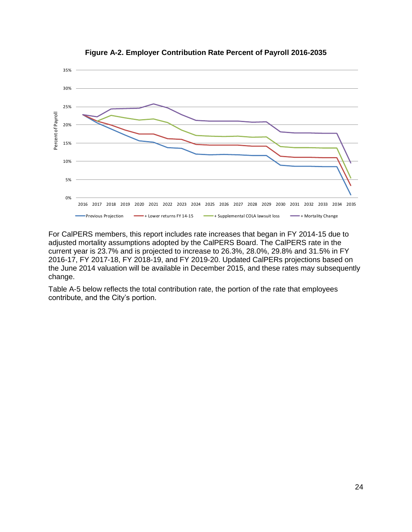

**Figure A-2. Employer Contribution Rate Percent of Payroll 2016-2035**

For CalPERS members, this report includes rate increases that began in FY 2014-15 due to adjusted mortality assumptions adopted by the CalPERS Board. The CalPERS rate in the current year is 23.7% and is projected to increase to 26.3%, 28.0%, 29.8% and 31.5% in FY 2016-17, FY 2017-18, FY 2018-19, and FY 2019-20. Updated CalPERs projections based on the June 2014 valuation will be available in December 2015, and these rates may subsequently change.

Table A-5 below reflects the total contribution rate, the portion of the rate that employees contribute, and the City's portion.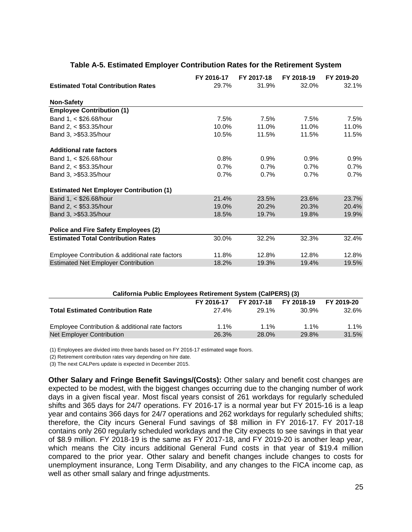|                                                 | FY 2016-17 | FY 2017-18 | FY 2018-19 | FY 2019-20 |
|-------------------------------------------------|------------|------------|------------|------------|
| <b>Estimated Total Contribution Rates</b>       | 29.7%      | 31.9%      | 32.0%      | 32.1%      |
| <b>Non-Safety</b>                               |            |            |            |            |
| <b>Employee Contribution (1)</b>                |            |            |            |            |
| Band 1, < \$26.68/hour                          | 7.5%       | 7.5%       | 7.5%       | 7.5%       |
| Band 2, < \$53.35/hour                          | 10.0%      | 11.0%      | 11.0%      | 11.0%      |
| Band 3, >\$53.35/hour                           | 10.5%      | 11.5%      | 11.5%      | 11.5%      |
| <b>Additional rate factors</b>                  |            |            |            |            |
| Band 1, < \$26.68/hour                          | 0.8%       | 0.9%       | $0.9\%$    | 0.9%       |
| Band 2, < \$53.35/hour                          | 0.7%       | 0.7%       | $0.7\%$    | 0.7%       |
| Band 3, >\$53.35/hour                           | 0.7%       | 0.7%       | $0.7\%$    | 0.7%       |
| <b>Estimated Net Employer Contribution (1)</b>  |            |            |            |            |
| Band 1, < \$26.68/hour                          | 21.4%      | 23.5%      | 23.6%      | 23.7%      |
| Band 2, < \$53.35/hour                          | 19.0%      | 20.2%      | 20.3%      | 20.4%      |
| Band 3, >\$53.35/hour                           | 18.5%      | 19.7%      | 19.8%      | 19.9%      |
| <b>Police and Fire Safety Employees (2)</b>     |            |            |            |            |
| <b>Estimated Total Contribution Rates</b>       | 30.0%      | 32.2%      | 32.3%      | 32.4%      |
| Employee Contribution & additional rate factors | 11.8%      | 12.8%      | 12.8%      | 12.8%      |
| <b>Estimated Net Employer Contribution</b>      | 18.2%      | 19.3%      | 19.4%      | 19.5%      |

#### **Table A-5. Estimated Employer Contribution Rates for the Retirement System**

| California Public Employees Retirement System (CalPERS) (3) |            |            |            |            |  |  |
|-------------------------------------------------------------|------------|------------|------------|------------|--|--|
|                                                             | FY 2016-17 | FY 2017-18 | FY 2018-19 | FY 2019-20 |  |  |
| <b>Total Estimated Contribution Rate</b>                    | 27.4%      | 29.1%      | 30.9%      | $32.6\%$   |  |  |
| Employee Contribution & additional rate factors             | $1.1\%$    | $1.1\%$    | $1.1\%$    | $1.1\%$    |  |  |
| Net Employer Contribution                                   | 26.3%      | 28.0%      | 29.8%      | 31.5%      |  |  |

(1) Employees are divided into three bands based on FY 2016-17 estimated wage floors.

(2) Retirement contribution rates vary depending on hire date.

(3) The next CALPers update is expected in December 2015.

**Other Salary and Fringe Benefit Savings/(Costs):** Other salary and benefit cost changes are expected to be modest, with the biggest changes occurring due to the changing number of work days in a given fiscal year. Most fiscal years consist of 261 workdays for regularly scheduled shifts and 365 days for 24/7 operations. FY 2016-17 is a normal year but FY 2015-16 is a leap year and contains 366 days for 24/7 operations and 262 workdays for regularly scheduled shifts; therefore, the City incurs General Fund savings of \$8 million in FY 2016-17. FY 2017-18 contains only 260 regularly scheduled workdays and the City expects to see savings in that year of \$8.9 million. FY 2018-19 is the same as FY 2017-18, and FY 2019-20 is another leap year, which means the City incurs additional General Fund costs in that year of \$19.4 million compared to the prior year. Other salary and benefit changes include changes to costs for unemployment insurance, Long Term Disability, and any changes to the FICA income cap, as well as other small salary and fringe adjustments.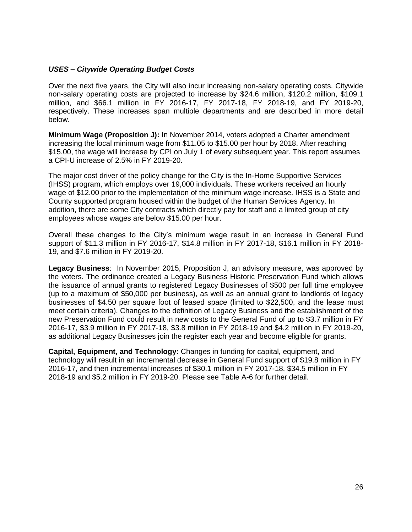#### *USES – Citywide Operating Budget Costs*

Over the next five years, the City will also incur increasing non-salary operating costs. Citywide non-salary operating costs are projected to increase by \$24.6 million, \$120.2 million, \$109.1 million, and \$66.1 million in FY 2016-17, FY 2017-18, FY 2018-19, and FY 2019-20, respectively. These increases span multiple departments and are described in more detail below.

**Minimum Wage (Proposition J):** In November 2014, voters adopted a Charter amendment increasing the local minimum wage from \$11.05 to \$15.00 per hour by 2018. After reaching \$15.00, the wage will increase by CPI on July 1 of every subsequent year. This report assumes a CPI-U increase of 2.5% in FY 2019-20.

The major cost driver of the policy change for the City is the In-Home Supportive Services (IHSS) program, which employs over 19,000 individuals. These workers received an hourly wage of \$12.00 prior to the implementation of the minimum wage increase. IHSS is a State and County supported program housed within the budget of the Human Services Agency. In addition, there are some City contracts which directly pay for staff and a limited group of city employees whose wages are below \$15.00 per hour.

Overall these changes to the City's minimum wage result in an increase in General Fund support of \$11.3 million in FY 2016-17, \$14.8 million in FY 2017-18, \$16.1 million in FY 2018- 19, and \$7.6 million in FY 2019-20.

**Legacy Business**: In November 2015, Proposition J, an advisory measure, was approved by the voters. The ordinance created a Legacy Business Historic Preservation Fund which allows the issuance of annual grants to registered Legacy Businesses of \$500 per full time employee (up to a maximum of \$50,000 per business), as well as an annual grant to landlords of legacy businesses of \$4.50 per square foot of leased space (limited to \$22,500, and the lease must meet certain criteria). Changes to the definition of Legacy Business and the establishment of the new Preservation Fund could result in new costs to the General Fund of up to \$3.7 million in FY 2016-17, \$3.9 million in FY 2017-18, \$3.8 million in FY 2018-19 and \$4.2 million in FY 2019-20, as additional Legacy Businesses join the register each year and become eligible for grants.

**Capital, Equipment, and Technology:** Changes in funding for capital, equipment, and technology will result in an incremental decrease in General Fund support of \$19.8 million in FY 2016-17, and then incremental increases of \$30.1 million in FY 2017-18, \$34.5 million in FY 2018-19 and \$5.2 million in FY 2019-20. Please see Table A-6 for further detail.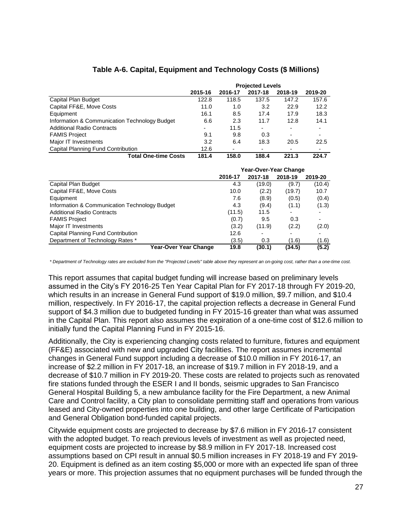|                                               | <b>Projected Levels</b> |         |         |                          |         |  |
|-----------------------------------------------|-------------------------|---------|---------|--------------------------|---------|--|
|                                               | 2015-16                 | 2016-17 | 2017-18 | 2018-19                  | 2019-20 |  |
| Capital Plan Budget                           | 122.8                   | 118.5   | 137.5   | 147.2                    | 157.6   |  |
| Capital FF&E, Move Costs                      | 11.0                    | 1.0     | 3.2     | 22.9                     | 12.2    |  |
| Equipment                                     | 16.1                    | 8.5     | 17.4    | 17.9                     | 18.3    |  |
| Information & Communication Technology Budget | 6.6                     | 2.3     | 11.7    | 12.8                     | 14.1    |  |
| <b>Additional Radio Contracts</b>             | -                       | 11.5    |         | $\blacksquare$           |         |  |
| <b>FAMIS Project</b>                          | 9.1                     | 9.8     | 0.3     | $\overline{\phantom{0}}$ |         |  |
| Major IT Investments                          | 3.2                     | 6.4     | 18.3    | 20.5                     | 22.5    |  |
| Capital Planning Fund Contribution            | 12.6                    |         |         | $\blacksquare$           |         |  |
| <b>Total One-time Costs</b>                   | 181.4                   | 158.0   | 188.4   | 221.3                    | 224.7   |  |

## **Table A-6. Capital, Equipment and Technology Costs (\$ Millions)**

|                                               | Year-Over-Year Change |         |         |         |  |
|-----------------------------------------------|-----------------------|---------|---------|---------|--|
|                                               | 2016-17               | 2017-18 | 2018-19 | 2019-20 |  |
| Capital Plan Budget                           | 4.3                   | (19.0)  | (9.7)   | (10.4)  |  |
| Capital FF&E, Move Costs                      | 10.0                  | (2.2)   | (19.7)  | 10.7    |  |
| Equipment                                     | 7.6                   | (8.9)   | (0.5)   | (0.4)   |  |
| Information & Communication Technology Budget | 4.3                   | (9.4)   | (1.1)   | (1.3)   |  |
| <b>Additional Radio Contracts</b>             | (11.5)                | 11.5    |         |         |  |
| <b>FAMIS Project</b>                          | (0.7)                 | 9.5     | 0.3     |         |  |
| Major IT Investments                          | (3.2)                 | (11.9)  | (2.2)   | (2.0)   |  |
| Capital Planning Fund Contribution            | 12.6                  |         |         |         |  |
| Department of Technology Rates *              | (3.5)                 | 0.3     | (1.6)   | (1.6)   |  |
| Year-Over Year Change                         | 19.8                  | (30.1)  | (34.5)  | (5.2)   |  |

*\* Department of Technology rates are excluded from the "Projected Levels" table above they represent an on-going cost, rather than a one-time cost.*

This report assumes that capital budget funding will increase based on preliminary levels assumed in the City's FY 2016-25 Ten Year Capital Plan for FY 2017-18 through FY 2019-20, which results in an increase in General Fund support of \$19.0 million, \$9.7 million, and \$10.4 million, respectively. In FY 2016-17, the capital projection reflects a decrease in General Fund support of \$4.3 million due to budgeted funding in FY 2015-16 greater than what was assumed in the Capital Plan. This report also assumes the expiration of a one-time cost of \$12.6 million to initially fund the Capital Planning Fund in FY 2015-16.

Additionally, the City is experiencing changing costs related to furniture, fixtures and equipment (FF&E) associated with new and upgraded City facilities. The report assumes incremental changes in General Fund support including a decrease of \$10.0 million in FY 2016-17, an increase of \$2.2 million in FY 2017-18, an increase of \$19.7 million in FY 2018-19, and a decrease of \$10.7 million in FY 2019-20. These costs are related to projects such as renovated fire stations funded through the ESER I and II bonds, seismic upgrades to San Francisco General Hospital Building 5, a new ambulance facility for the Fire Department, a new Animal Care and Control facility, a City plan to consolidate permitting staff and operations from various leased and City-owned properties into one building, and other large Certificate of Participation and General Obligation bond-funded capital projects.

Citywide equipment costs are projected to decrease by \$7.6 million in FY 2016-17 consistent with the adopted budget. To reach previous levels of investment as well as projected need, equipment costs are projected to increase by \$8.9 million in FY 2017-18. Increased cost assumptions based on CPI result in annual \$0.5 million increases in FY 2018-19 and FY 2019- 20. Equipment is defined as an item costing \$5,000 or more with an expected life span of three years or more. This projection assumes that no equipment purchases will be funded through the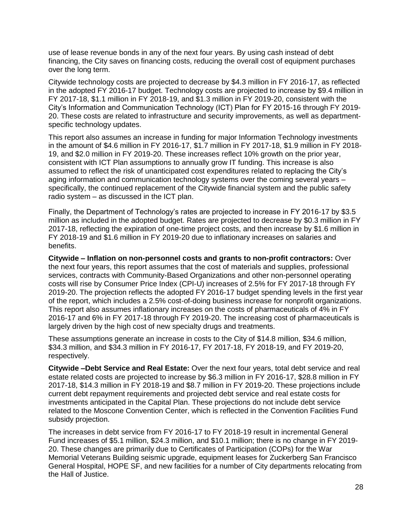use of lease revenue bonds in any of the next four years. By using cash instead of debt financing, the City saves on financing costs, reducing the overall cost of equipment purchases over the long term.

Citywide technology costs are projected to decrease by \$4.3 million in FY 2016-17, as reflected in the adopted FY 2016-17 budget. Technology costs are projected to increase by \$9.4 million in FY 2017-18, \$1.1 million in FY 2018-19, and \$1.3 million in FY 2019-20, consistent with the City's Information and Communication Technology (ICT) Plan for FY 2015-16 through FY 2019- 20. These costs are related to infrastructure and security improvements, as well as departmentspecific technology updates.

This report also assumes an increase in funding for major Information Technology investments in the amount of \$4.6 million in FY 2016-17, \$1.7 million in FY 2017-18, \$1.9 million in FY 2018- 19, and \$2.0 million in FY 2019-20. These increases reflect 10% growth on the prior year, consistent with ICT Plan assumptions to annually grow IT funding. This increase is also assumed to reflect the risk of unanticipated cost expenditures related to replacing the City's aging information and communication technology systems over the coming several years – specifically, the continued replacement of the Citywide financial system and the public safety radio system – as discussed in the ICT plan.

Finally, the Department of Technology's rates are projected to increase in FY 2016-17 by \$3.5 million as included in the adopted budget. Rates are projected to decrease by \$0.3 million in FY 2017-18, reflecting the expiration of one-time project costs, and then increase by \$1.6 million in FY 2018-19 and \$1.6 million in FY 2019-20 due to inflationary increases on salaries and benefits.

**Citywide – Inflation on non-personnel costs and grants to non-profit contractors:** Over the next four years, this report assumes that the cost of materials and supplies, professional services, contracts with Community-Based Organizations and other non-personnel operating costs will rise by Consumer Price Index (CPI-U) increases of 2.5% for FY 2017-18 through FY 2019-20. The projection reflects the adopted FY 2016-17 budget spending levels in the first year of the report, which includes a 2.5% cost-of-doing business increase for nonprofit organizations. This report also assumes inflationary increases on the costs of pharmaceuticals of 4% in FY 2016-17 and 6% in FY 2017-18 through FY 2019-20. The increasing cost of pharmaceuticals is largely driven by the high cost of new specialty drugs and treatments.

These assumptions generate an increase in costs to the City of \$14.8 million, \$34.6 million, \$34.3 million, and \$34.3 million in FY 2016-17, FY 2017-18, FY 2018-19, and FY 2019-20, respectively.

**Citywide –Debt Service and Real Estate:** Over the next four years, total debt service and real estate related costs are projected to increase by \$6.3 million in FY 2016-17, \$28.8 million in FY 2017-18, \$14.3 million in FY 2018-19 and \$8.7 million in FY 2019-20. These projections include current debt repayment requirements and projected debt service and real estate costs for investments anticipated in the Capital Plan. These projections do not include debt service related to the Moscone Convention Center, which is reflected in the Convention Facilities Fund subsidy projection.

The increases in debt service from FY 2016-17 to FY 2018-19 result in incremental General Fund increases of \$5.1 million, \$24.3 million, and \$10.1 million; there is no change in FY 2019- 20. These changes are primarily due to Certificates of Participation (COPs) for the War Memorial Veterans Building seismic upgrade, equipment leases for Zuckerberg San Francisco General Hospital, HOPE SF, and new facilities for a number of City departments relocating from the Hall of Justice.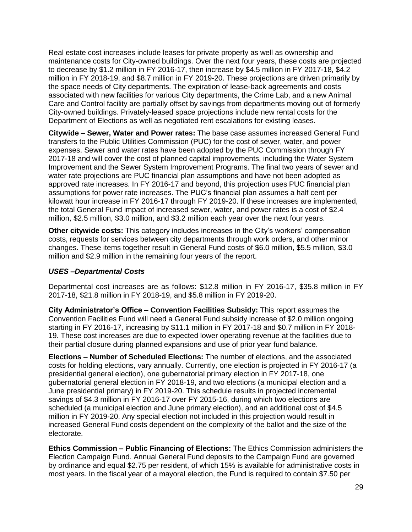Real estate cost increases include leases for private property as well as ownership and maintenance costs for City-owned buildings. Over the next four years, these costs are projected to decrease by \$1.2 million in FY 2016-17, then increase by \$4.5 million in FY 2017-18, \$4.2 million in FY 2018-19, and \$8.7 million in FY 2019-20. These projections are driven primarily by the space needs of City departments. The expiration of lease-back agreements and costs associated with new facilities for various City departments, the Crime Lab, and a new Animal Care and Control facility are partially offset by savings from departments moving out of formerly City-owned buildings. Privately-leased space projections include new rental costs for the Department of Elections as well as negotiated rent escalations for existing leases.

**Citywide – Sewer, Water and Power rates:** The base case assumes increased General Fund transfers to the Public Utilities Commission (PUC) for the cost of sewer, water, and power expenses. Sewer and water rates have been adopted by the PUC Commission through FY 2017-18 and will cover the cost of planned capital improvements, including the Water System Improvement and the Sewer System Improvement Programs. The final two years of sewer and water rate projections are PUC financial plan assumptions and have not been adopted as approved rate increases. In FY 2016-17 and beyond, this projection uses PUC financial plan assumptions for power rate increases. The PUC's financial plan assumes a half cent per kilowatt hour increase in FY 2016-17 through FY 2019-20. If these increases are implemented, the total General Fund impact of increased sewer, water, and power rates is a cost of \$2.4 million, \$2.5 million, \$3.0 million, and \$3.2 million each year over the next four years.

**Other citywide costs:** This category includes increases in the City's workers' compensation costs, requests for services between city departments through work orders, and other minor changes. These items together result in General Fund costs of \$6.0 million, \$5.5 million, \$3.0 million and \$2.9 million in the remaining four years of the report.

#### *USES –Departmental Costs*

Departmental cost increases are as follows: \$12.8 million in FY 2016-17, \$35.8 million in FY 2017-18, \$21.8 million in FY 2018-19, and \$5.8 million in FY 2019-20.

**City Administrator's Office – Convention Facilities Subsidy:** This report assumes the Convention Facilities Fund will need a General Fund subsidy increase of \$2.0 million ongoing starting in FY 2016-17, increasing by \$11.1 million in FY 2017-18 and \$0.7 million in FY 2018- 19. These cost increases are due to expected lower operating revenue at the facilities due to their partial closure during planned expansions and use of prior year fund balance.

**Elections – Number of Scheduled Elections:** The number of elections, and the associated costs for holding elections, vary annually. Currently, one election is projected in FY 2016-17 (a presidential general election), one gubernatorial primary election in FY 2017-18, one gubernatorial general election in FY 2018-19, and two elections (a municipal election and a June presidential primary) in FY 2019-20. This schedule results in projected incremental savings of \$4.3 million in FY 2016-17 over FY 2015-16, during which two elections are scheduled (a municipal election and June primary election), and an additional cost of \$4.5 million in FY 2019-20. Any special election not included in this projection would result in increased General Fund costs dependent on the complexity of the ballot and the size of the electorate.

**Ethics Commission – Public Financing of Elections:** The Ethics Commission administers the Election Campaign Fund. Annual General Fund deposits to the Campaign Fund are governed by ordinance and equal \$2.75 per resident, of which 15% is available for administrative costs in most years. In the fiscal year of a mayoral election, the Fund is required to contain \$7.50 per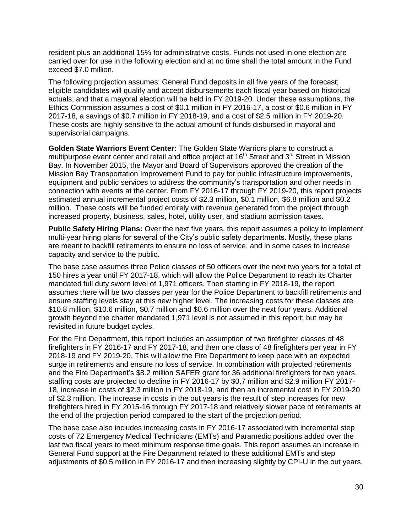resident plus an additional 15% for administrative costs. Funds not used in one election are carried over for use in the following election and at no time shall the total amount in the Fund exceed \$7.0 million.

The following projection assumes: General Fund deposits in all five years of the forecast; eligible candidates will qualify and accept disbursements each fiscal year based on historical actuals; and that a mayoral election will be held in FY 2019-20. Under these assumptions, the Ethics Commission assumes a cost of \$0.1 million in FY 2016-17, a cost of \$0.6 million in FY 2017-18, a savings of \$0.7 million in FY 2018-19, and a cost of \$2.5 million in FY 2019-20. These costs are highly sensitive to the actual amount of funds disbursed in mayoral and supervisorial campaigns.

**Golden State Warriors Event Center:** The Golden State Warriors plans to construct a multipurpose event center and retail and office project at  $16<sup>th</sup>$  Street and  $3<sup>rd</sup>$  Street in Mission Bay. In November 2015, the Mayor and Board of Supervisors approved the creation of the Mission Bay Transportation Improvement Fund to pay for public infrastructure improvements, equipment and public services to address the community's transportation and other needs in connection with events at the center. From FY 2016-17 through FY 2019-20, this report projects estimated annual incremental project costs of \$2.3 million, \$0.1 million, \$6.8 million and \$0.2 million. These costs will be funded entirely with revenue generated from the project through increased property, business, sales, hotel, utility user, and stadium admission taxes.

**Public Safety Hiring Plans:** Over the next five years, this report assumes a policy to implement multi-year hiring plans for several of the City's public safety departments. Mostly, these plans are meant to backfill retirements to ensure no loss of service, and in some cases to increase capacity and service to the public.

The base case assumes three Police classes of 50 officers over the next two years for a total of 150 hires a year until FY 2017-18, which will allow the Police Department to reach its Charter mandated full duty sworn level of 1,971 officers. Then starting in FY 2018-19, the report assumes there will be two classes per year for the Police Department to backfill retirements and ensure staffing levels stay at this new higher level. The increasing costs for these classes are \$10.8 million, \$10.6 million, \$0.7 million and \$0.6 million over the next four years. Additional growth beyond the charter mandated 1,971 level is not assumed in this report; but may be revisited in future budget cycles.

For the Fire Department, this report includes an assumption of two firefighter classes of 48 firefighters in FY 2016-17 and FY 2017-18, and then one class of 48 firefighters per year in FY 2018-19 and FY 2019-20. This will allow the Fire Department to keep pace with an expected surge in retirements and ensure no loss of service. In combination with projected retirements and the Fire Department's \$8.2 million SAFER grant for 36 additional firefighters for two years, staffing costs are projected to decline in FY 2016-17 by \$0.7 million and \$2.9 million FY 2017- 18, increase in costs of \$2.3 million in FY 2018-19, and then an incremental cost in FY 2019-20 of \$2.3 million. The increase in costs in the out years is the result of step increases for new firefighters hired in FY 2015-16 through FY 2017-18 and relatively slower pace of retirements at the end of the projection period compared to the start of the projection period.

The base case also includes increasing costs in FY 2016-17 associated with incremental step costs of 72 Emergency Medical Technicians (EMTs) and Paramedic positions added over the last two fiscal years to meet minimum response time goals. This report assumes an increase in General Fund support at the Fire Department related to these additional EMTs and step adjustments of \$0.5 million in FY 2016-17 and then increasing slightly by CPI-U in the out years.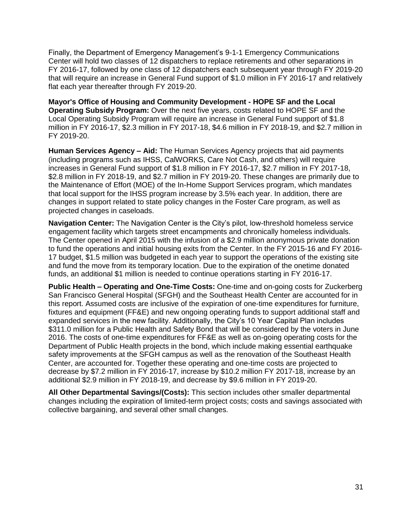Finally, the Department of Emergency Management's 9-1-1 Emergency Communications Center will hold two classes of 12 dispatchers to replace retirements and other separations in FY 2016-17, followed by one class of 12 dispatchers each subsequent year through FY 2019-20 that will require an increase in General Fund support of \$1.0 million in FY 2016-17 and relatively flat each year thereafter through FY 2019-20.

**Mayor's Office of Housing and Community Development - HOPE SF and the Local Operating Subsidy Program:** Over the next five years, costs related to HOPE SF and the Local Operating Subsidy Program will require an increase in General Fund support of \$1.8 million in FY 2016-17, \$2.3 million in FY 2017-18, \$4.6 million in FY 2018-19, and \$2.7 million in FY 2019-20.

**Human Services Agency – Aid:** The Human Services Agency projects that aid payments (including programs such as IHSS, CalWORKS, Care Not Cash, and others) will require increases in General Fund support of \$1.8 million in FY 2016-17, \$2.7 million in FY 2017-18, \$2.8 million in FY 2018-19, and \$2.7 million in FY 2019-20. These changes are primarily due to the Maintenance of Effort (MOE) of the In-Home Support Services program, which mandates that local support for the IHSS program increase by 3.5% each year. In addition, there are changes in support related to state policy changes in the Foster Care program, as well as projected changes in caseloads.

**Navigation Center:** The Navigation Center is the City's pilot, low-threshold homeless service engagement facility which targets street encampments and chronically homeless individuals. The Center opened in April 2015 with the infusion of a \$2.9 million anonymous private donation to fund the operations and initial housing exits from the Center. In the FY 2015-16 and FY 2016- 17 budget, \$1.5 million was budgeted in each year to support the operations of the existing site and fund the move from its temporary location. Due to the expiration of the onetime donated funds, an additional \$1 million is needed to continue operations starting in FY 2016-17.

**Public Health – Operating and One-Time Costs:** One-time and on-going costs for Zuckerberg San Francisco General Hospital (SFGH) and the Southeast Health Center are accounted for in this report. Assumed costs are inclusive of the expiration of one-time expenditures for furniture, fixtures and equipment (FF&E) and new ongoing operating funds to support additional staff and expanded services in the new facility. Additionally, the City's 10 Year Capital Plan includes \$311.0 million for a Public Health and Safety Bond that will be considered by the voters in June 2016. The costs of one-time expenditures for FF&E as well as on-going operating costs for the Department of Public Health projects in the bond, which include making essential earthquake safety improvements at the SFGH campus as well as the renovation of the Southeast Health Center, are accounted for. Together these operating and one-time costs are projected to decrease by \$7.2 million in FY 2016-17, increase by \$10.2 million FY 2017-18, increase by an additional \$2.9 million in FY 2018-19, and decrease by \$9.6 million in FY 2019-20.

**All Other Departmental Savings/(Costs):** This section includes other smaller departmental changes including the expiration of limited-term project costs; costs and savings associated with collective bargaining, and several other small changes.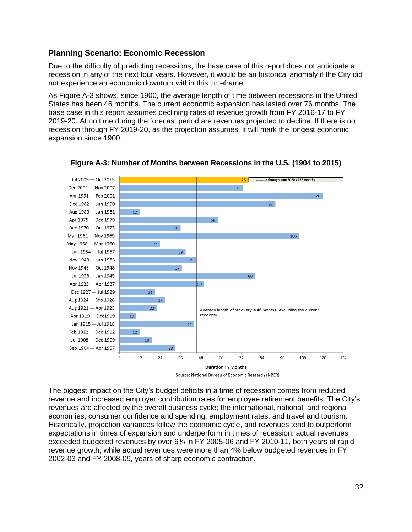# **Planning Scenario: Economic Recession**

Due to the difficulty of predicting recessions, the base case of this report does not anticipate a recession in any of the next four years. However, it would be an historical anomaly if the City did not experience an economic downturn within this timeframe.

As Figure A-3 shows, since 1900, the average length of time between recessions in the United States has been 46 months. The current economic expansion has lasted over 76 months. The base case in this report assumes declining rates of revenue growth from FY 2016-17 to FY 2019-20. At no time during the forecast period are revenues projected to decline. If there is no recession through FY 2019-20, as the projection assumes, it will mark the longest economic expansion since 1900.



**Figure A-3: Number of Months between Recessions in the U.S. (1904 to 2015)**

The biggest impact on the City's budget deficits in a time of recession comes from reduced revenue and increased employer contribution rates for employee retirement benefits. The City's revenues are affected by the overall business cycle; the international, national, and regional economies; consumer confidence and spending; employment rates; and travel and tourism. Historically, projection variances follow the economic cycle, and revenues tend to outperform expectations in times of expansion and underperform in times of recession: actual revenues exceeded budgeted revenues by over 6% in FY 2005-06 and FY 2010-11, both years of rapid revenue growth; while actual revenues were more than 4% below budgeted revenues in FY 2002-03 and FY 2008-09, years of sharp economic contraction.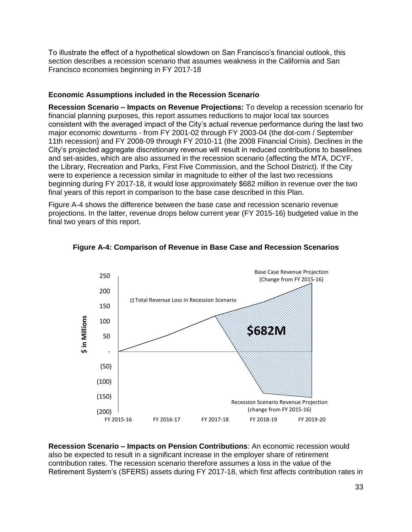To illustrate the effect of a hypothetical slowdown on San Francisco's financial outlook, this section describes a recession scenario that assumes weakness in the California and San Francisco economies beginning in FY 2017-18

## **Economic Assumptions included in the Recession Scenario**

**Recession Scenario – Impacts on Revenue Projections:** To develop a recession scenario for financial planning purposes, this report assumes reductions to major local tax sources consistent with the averaged impact of the City's actual revenue performance during the last two major economic downturns - from FY 2001-02 through FY 2003-04 (the dot-com / September 11th recession) and FY 2008-09 through FY 2010-11 (the 2008 Financial Crisis). Declines in the City's projected aggregate discretionary revenue will result in reduced contributions to baselines and set-asides, which are also assumed in the recession scenario (affecting the MTA, DCYF, the Library, Recreation and Parks, First Five Commission, and the School District). If the City were to experience a recession similar in magnitude to either of the last two recessions beginning during FY 2017-18, it would lose approximately \$682 million in revenue over the two final years of this report in comparison to the base case described in this Plan.

Figure A-4 shows the difference between the base case and recession scenario revenue projections. In the latter, revenue drops below current year (FY 2015-16) budgeted value in the final two years of this report.





**Recession Scenario – Impacts on Pension Contributions**: An economic recession would also be expected to result in a significant increase in the employer share of retirement contribution rates. The recession scenario therefore assumes a loss in the value of the Retirement System's (SFERS) assets during FY 2017-18, which first affects contribution rates in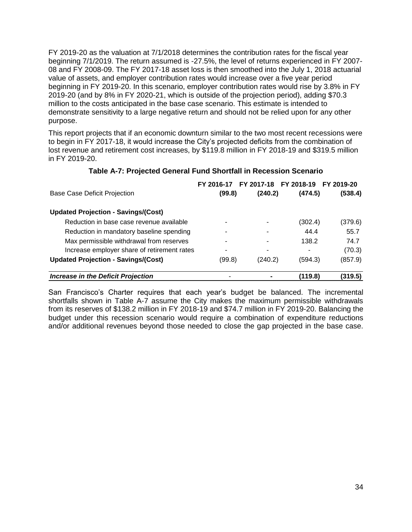FY 2019-20 as the valuation at 7/1/2018 determines the contribution rates for the fiscal year beginning 7/1/2019. The return assumed is -27.5%, the level of returns experienced in FY 2007- 08 and FY 2008-09. The FY 2017-18 asset loss is then smoothed into the July 1, 2018 actuarial value of assets, and employer contribution rates would increase over a five year period beginning in FY 2019-20. In this scenario, employer contribution rates would rise by 3.8% in FY 2019-20 (and by 8% in FY 2020-21, which is outside of the projection period), adding \$70.3 million to the costs anticipated in the base case scenario. This estimate is intended to demonstrate sensitivity to a large negative return and should not be relied upon for any other purpose.

This report projects that if an economic downturn similar to the two most recent recessions were to begin in FY 2017-18, it would increase the City's projected deficits from the combination of lost revenue and retirement cost increases, by \$119.8 million in FY 2018-19 and \$319.5 million in FY 2019-20.

|                                             | FY 2016-17 |         | FY 2017-18 FY 2018-19 FY 2019-20 |         |
|---------------------------------------------|------------|---------|----------------------------------|---------|
| <b>Base Case Deficit Projection</b>         | (99.8)     | (240.2) | (474.5)                          | (538.4) |
| <b>Updated Projection - Savings/(Cost)</b>  |            |         |                                  |         |
| Reduction in base case revenue available    |            |         | (302.4)                          | (379.6) |
| Reduction in mandatory baseline spending    |            |         | 44.4                             | 55.7    |
| Max permissible withdrawal from reserves    |            |         | 138.2                            | 74.7    |
| Increase employer share of retirement rates |            |         |                                  | (70.3)  |
| <b>Updated Projection - Savings/(Cost)</b>  | (99.8)     | (240.2) | (594.3)                          | (857.9) |
| <b>Increase in the Deficit Projection</b>   | ۰          |         | (119.8)                          | (319.5) |

#### **Table A-7: Projected General Fund Shortfall in Recession Scenario**

San Francisco's Charter requires that each year's budget be balanced. The incremental shortfalls shown in Table A-7 assume the City makes the maximum permissible withdrawals from its reserves of \$138.2 million in FY 2018-19 and \$74.7 million in FY 2019-20. Balancing the budget under this recession scenario would require a combination of expenditure reductions and/or additional revenues beyond those needed to close the gap projected in the base case.